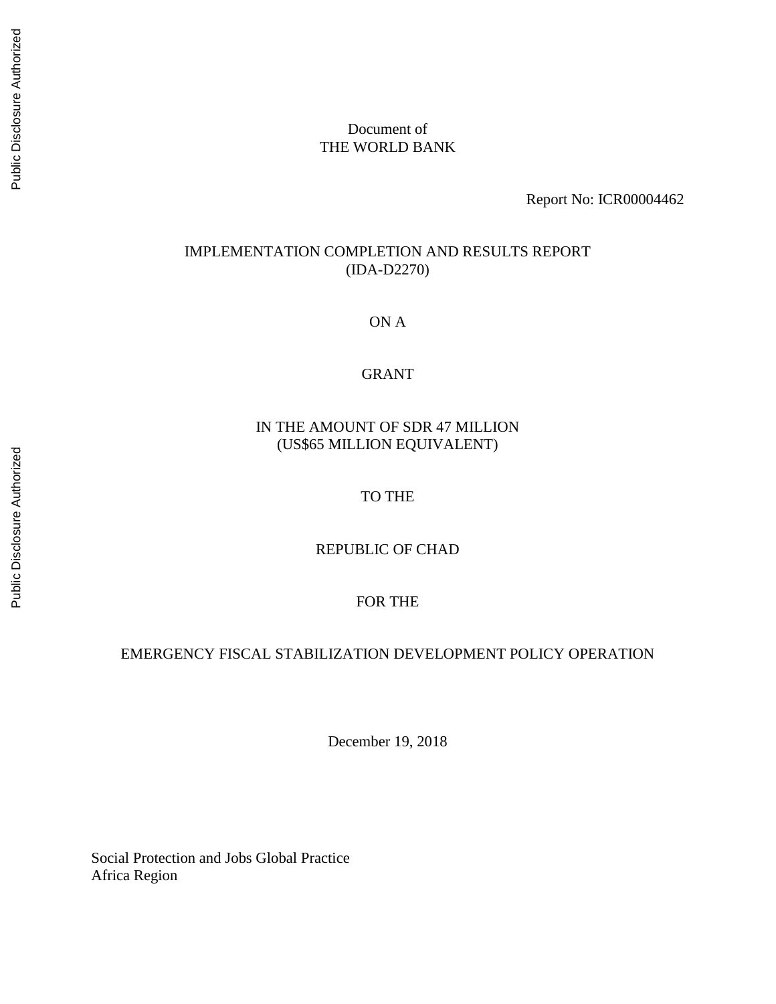### Document of THE WORLD BANK

Report No: ICR00004462

### IMPLEMENTATION COMPLETION AND RESULTS REPORT (IDA-D2270)

ON A

#### GRANT

# IN THE AMOUNT OF SDR 47 MILLION (US\$65 MILLION EQUIVALENT)

### TO THE

#### REPUBLIC OF CHAD

### FOR THE

### EMERGENCY FISCAL STABILIZATION DEVELOPMENT POLICY OPERATION

December 19, 2018

Social Protection and Jobs Global Practice Africa Region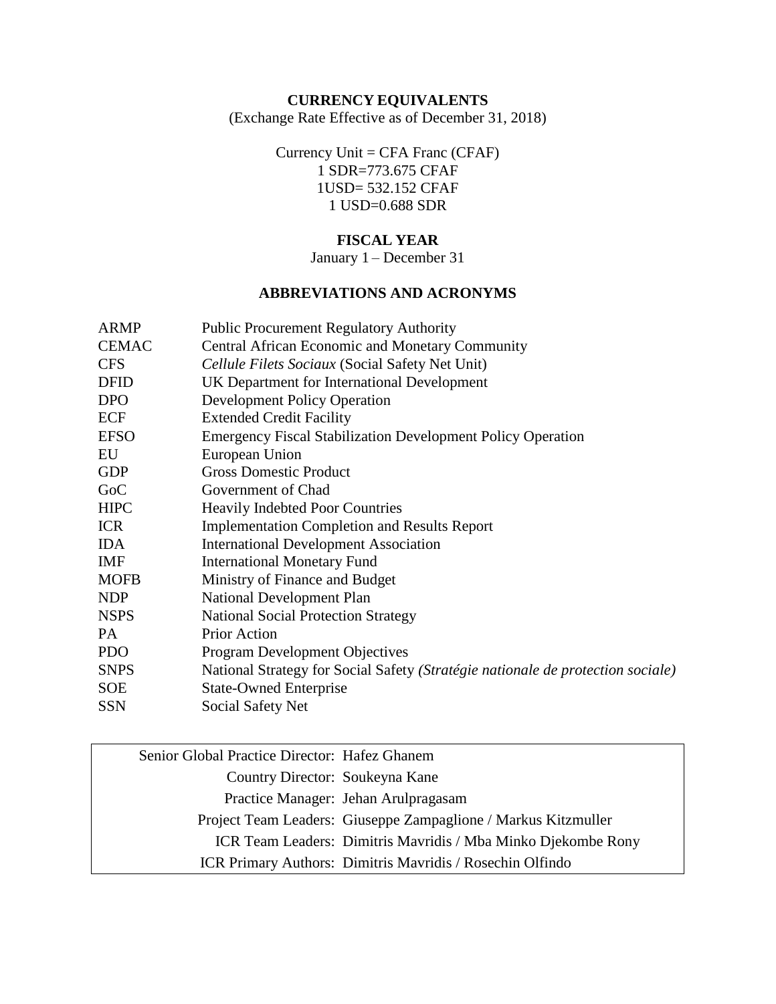# **CURRENCY EQUIVALENTS**

(Exchange Rate Effective as of December 31, 2018)

Currency Unit = CFA Franc (CFAF) 1 SDR=773.675 CFAF 1USD= 532.152 CFAF 1 USD=0.688 SDR

# **FISCAL YEAR**

January 1 – December 31

# **ABBREVIATIONS AND ACRONYMS**

| <b>ARMP</b>  | <b>Public Procurement Regulatory Authority</b>                                  |
|--------------|---------------------------------------------------------------------------------|
| <b>CEMAC</b> | <b>Central African Economic and Monetary Community</b>                          |
| <b>CFS</b>   | Cellule Filets Sociaux (Social Safety Net Unit)                                 |
| <b>DFID</b>  | UK Department for International Development                                     |
| <b>DPO</b>   | <b>Development Policy Operation</b>                                             |
| <b>ECF</b>   | <b>Extended Credit Facility</b>                                                 |
| <b>EFSO</b>  | <b>Emergency Fiscal Stabilization Development Policy Operation</b>              |
| EU           | European Union                                                                  |
| <b>GDP</b>   | <b>Gross Domestic Product</b>                                                   |
| GoC          | Government of Chad                                                              |
| <b>HIPC</b>  | <b>Heavily Indebted Poor Countries</b>                                          |
| <b>ICR</b>   | <b>Implementation Completion and Results Report</b>                             |
| <b>IDA</b>   | <b>International Development Association</b>                                    |
| <b>IMF</b>   | <b>International Monetary Fund</b>                                              |
| <b>MOFB</b>  | Ministry of Finance and Budget                                                  |
| <b>NDP</b>   | <b>National Development Plan</b>                                                |
| <b>NSPS</b>  | <b>National Social Protection Strategy</b>                                      |
| PA           | Prior Action                                                                    |
| <b>PDO</b>   | <b>Program Development Objectives</b>                                           |
| <b>SNPS</b>  | National Strategy for Social Safety (Stratégie nationale de protection sociale) |
| <b>SOE</b>   | <b>State-Owned Enterprise</b>                                                   |
| <b>SSN</b>   | Social Safety Net                                                               |
|              |                                                                                 |

| Senior Global Practice Director: Hafez Ghanem |                                                                |
|-----------------------------------------------|----------------------------------------------------------------|
| Country Director: Soukeyna Kane               |                                                                |
|                                               | Practice Manager: Jehan Arulpragasam                           |
|                                               | Project Team Leaders: Giuseppe Zampaglione / Markus Kitzmuller |
|                                               | ICR Team Leaders: Dimitris Mavridis / Mba Minko Djekombe Rony  |
|                                               | ICR Primary Authors: Dimitris Mavridis / Rosechin Olfindo      |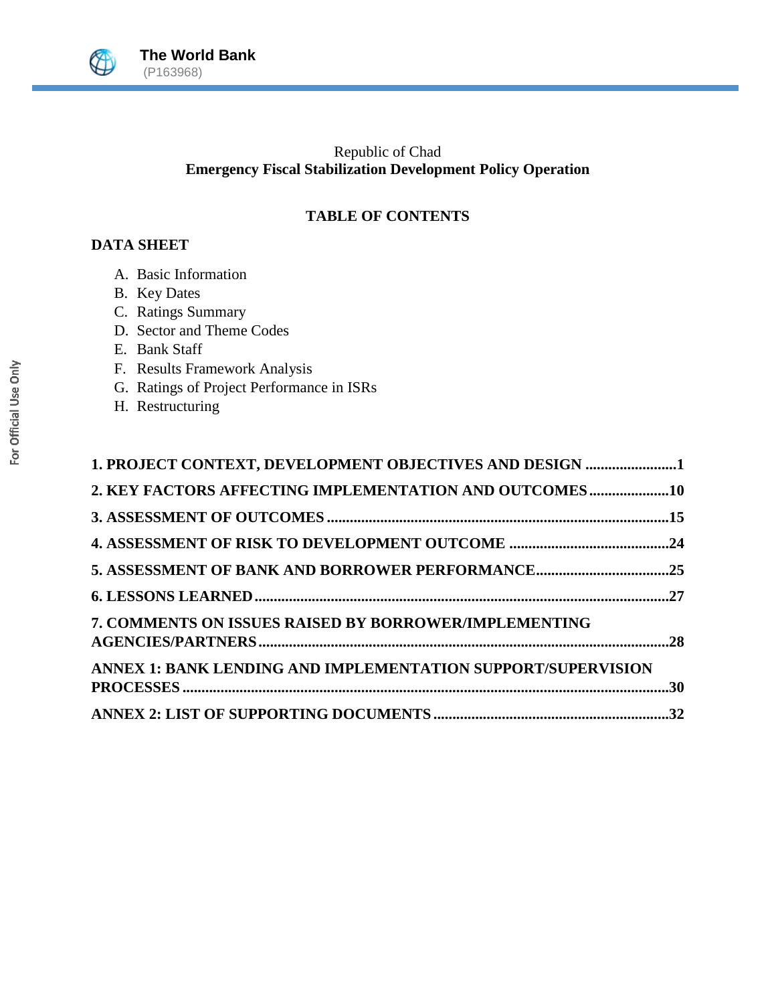

# Republic of Chad **Emergency Fiscal Stabilization Development Policy Operation**

# **TABLE OF CONTENTS**

# **DATA SHEET**

- A. Basic Information
- B. Key Dates
- C. Ratings Summary
- D. Sector and Theme Codes
- E. Bank Staff
- F. Results Framework Analysis
- G. Ratings of Project Performance in ISRs
- H. Restructuring

| 1. PROJECT CONTEXT, DEVELOPMENT OBJECTIVES AND DESIGN 1      |  |
|--------------------------------------------------------------|--|
| 2. KEY FACTORS AFFECTING IMPLEMENTATION AND OUTCOMES10       |  |
|                                                              |  |
|                                                              |  |
| 5. ASSESSMENT OF BANK AND BORROWER PERFORMANCE25             |  |
|                                                              |  |
| <b>7. COMMENTS ON ISSUES RAISED BY BORROWER/IMPLEMENTING</b> |  |
| ANNEX 1: BANK LENDING AND IMPLEMENTATION SUPPORT/SUPERVISION |  |
|                                                              |  |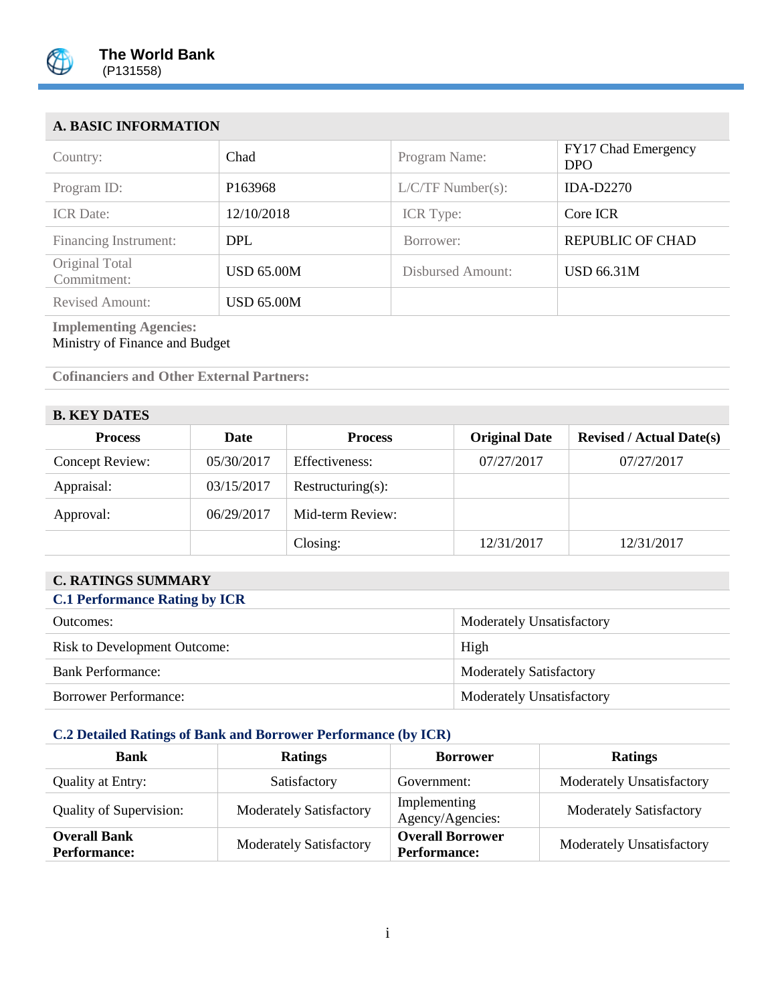

# **A. BASIC INFORMATION**

| Country:                      | Chad                | Program Name:       | FY17 Chad Emergency<br><b>DPO</b> |
|-------------------------------|---------------------|---------------------|-----------------------------------|
| Program ID:                   | P <sub>163968</sub> | $L/C/TF$ Number(s): | <b>IDA-D2270</b>                  |
| <b>ICR</b> Date:              | 12/10/2018          | ICR Type:           | Core ICR                          |
| Financing Instrument:         | <b>DPL</b>          | Borrower:           | <b>REPUBLIC OF CHAD</b>           |
| Original Total<br>Commitment: | <b>USD 65.00M</b>   | Disbursed Amount:   | <b>USD 66.31M</b>                 |
| <b>Revised Amount:</b>        | <b>USD 65.00M</b>   |                     |                                   |

#### **Implementing Agencies:** Ministry of Finance and Budget

**Cofinanciers and Other External Partners:**

# **B. KEY DATES**

| P: IPLI, P:ILU         |            |                   |                      |                                 |  |
|------------------------|------------|-------------------|----------------------|---------------------------------|--|
| <b>Process</b>         | Date       | <b>Process</b>    | <b>Original Date</b> | <b>Revised / Actual Date(s)</b> |  |
| <b>Concept Review:</b> | 05/30/2017 | Effectiveness:    | 07/27/2017           | 07/27/2017                      |  |
| Appraisal:             | 03/15/2017 | Restructuring(s): |                      |                                 |  |
| Approval:              | 06/29/2017 | Mid-term Review:  |                      |                                 |  |
|                        |            | Closing:          | 12/31/2017           | 12/31/2017                      |  |

## **C. RATINGS SUMMARY**

| <b>C.1 Performance Rating by ICR</b> |                                |  |  |
|--------------------------------------|--------------------------------|--|--|
| Outcomes:                            | Moderately Unsatisfactory      |  |  |
| <b>Risk to Development Outcome:</b>  | High                           |  |  |
| <b>Bank Performance:</b>             | <b>Moderately Satisfactory</b> |  |  |
| <b>Borrower Performance:</b>         | Moderately Unsatisfactory      |  |  |

# **C.2 Detailed Ratings of Bank and Borrower Performance (by ICR)**

| Bank<br><b>Ratings</b>                                           |                                | <b>Borrower</b>                                | <b>Ratings</b>                   |
|------------------------------------------------------------------|--------------------------------|------------------------------------------------|----------------------------------|
| Quality at Entry:                                                | Satisfactory                   | Government:                                    | Moderately Unsatisfactory        |
| <b>Moderately Satisfactory</b><br><b>Quality of Supervision:</b> |                                | Implementing<br>Agency/Agencies:               | <b>Moderately Satisfactory</b>   |
| <b>Overall Bank</b><br><b>Performance:</b>                       | <b>Moderately Satisfactory</b> | <b>Overall Borrower</b><br><b>Performance:</b> | <b>Moderately Unsatisfactory</b> |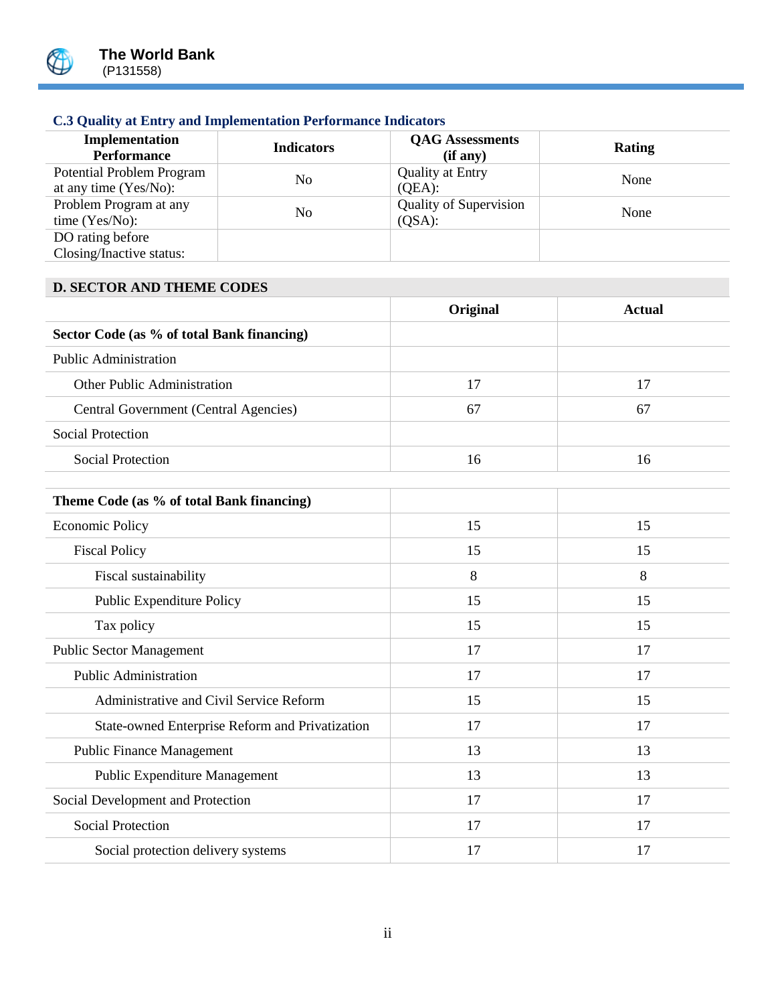

# **C.3 Quality at Entry and Implementation Performance Indicators**

| Implementation<br><b>Performance</b>               | <b>Indicators</b> | <b>QAG</b> Assessments<br>(if any)         | <b>Rating</b> |
|----------------------------------------------------|-------------------|--------------------------------------------|---------------|
| Potential Problem Program<br>at any time (Yes/No): | No                | <b>Quality at Entry</b><br>$(OEA)$ :       | None          |
| Problem Program at any<br>time $(Yes/No)$ :        | No                | <b>Quality of Supervision</b><br>$(QSA)$ : | None          |
| DO rating before<br>Closing/Inactive status:       |                   |                                            |               |

# **D. SECTOR AND THEME CODES**

|                                            | Original | Actual |
|--------------------------------------------|----------|--------|
| Sector Code (as % of total Bank financing) |          |        |
| <b>Public Administration</b>               |          |        |
| Other Public Administration                | 17       | 17     |
| Central Government (Central Agencies)      | 67       | 67     |
| Social Protection                          |          |        |
| Social Protection                          | 16       | 16     |

| Theme Code (as % of total Bank financing)       |    |    |
|-------------------------------------------------|----|----|
| <b>Economic Policy</b>                          | 15 | 15 |
| <b>Fiscal Policy</b>                            | 15 | 15 |
| Fiscal sustainability                           | 8  | 8  |
| <b>Public Expenditure Policy</b>                | 15 | 15 |
| Tax policy                                      | 15 | 15 |
| <b>Public Sector Management</b>                 | 17 | 17 |
| <b>Public Administration</b>                    | 17 | 17 |
| Administrative and Civil Service Reform         | 15 | 15 |
| State-owned Enterprise Reform and Privatization | 17 | 17 |
| <b>Public Finance Management</b>                | 13 | 13 |
| Public Expenditure Management                   | 13 | 13 |
| Social Development and Protection               | 17 | 17 |
| <b>Social Protection</b>                        | 17 | 17 |
| Social protection delivery systems              | 17 | 17 |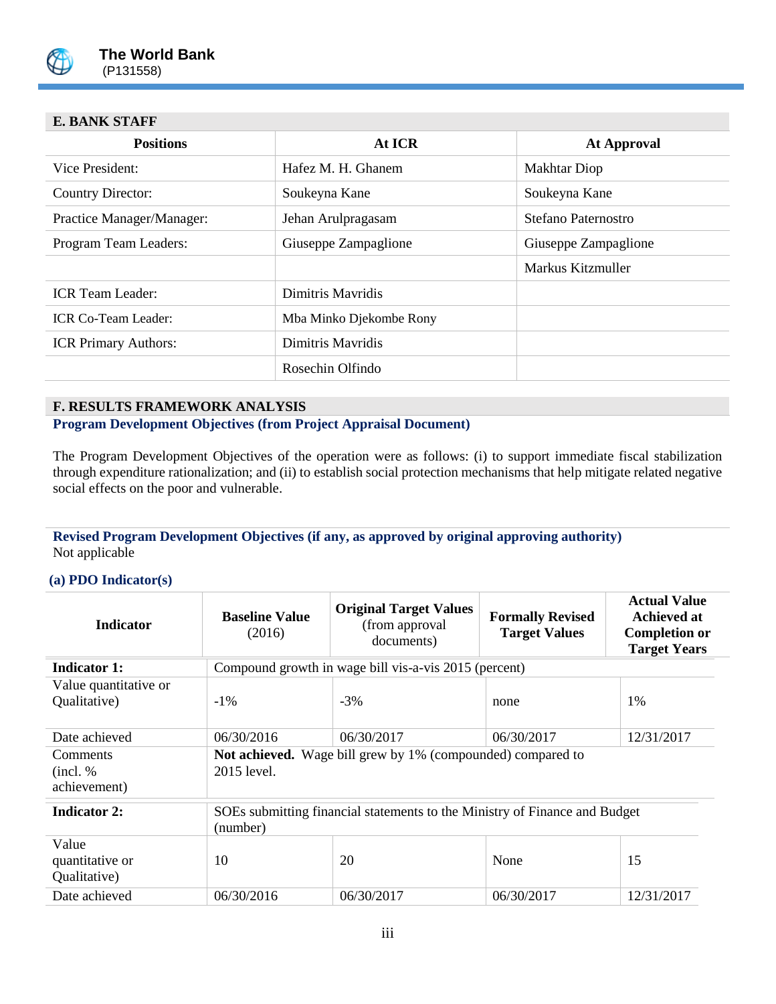

# **E. BANK STAFF**

| <b>Positions</b>            | At ICR                  | <b>At Approval</b>   |  |
|-----------------------------|-------------------------|----------------------|--|
| Vice President:             | Hafez M. H. Ghanem      | <b>Makhtar Diop</b>  |  |
| Country Director:           | Soukeyna Kane           | Soukeyna Kane        |  |
| Practice Manager/Manager:   | Jehan Arulpragasam      | Stefano Paternostro  |  |
| Program Team Leaders:       | Giuseppe Zampaglione    | Giuseppe Zampaglione |  |
|                             |                         | Markus Kitzmuller    |  |
| <b>ICR</b> Team Leader:     | Dimitris Mayridis       |                      |  |
| <b>ICR Co-Team Leader:</b>  | Mba Minko Djekombe Rony |                      |  |
| <b>ICR Primary Authors:</b> | Dimitris Mayridis       |                      |  |
|                             | Rosechin Olfindo        |                      |  |
|                             |                         |                      |  |

#### **F. RESULTS FRAMEWORK ANALYSIS**

**Program Development Objectives (from Project Appraisal Document)**

The Program Development Objectives of the operation were as follows: (i) to support immediate fiscal stabilization through expenditure rationalization; and (ii) to establish social protection mechanisms that help mitigate related negative social effects on the poor and vulnerable.

#### **Revised Program Development Objectives (if any, as approved by original approving authority)** Not applicable

#### **(a) PDO Indicator(s)**

| <b>Indicator</b>                         | <b>Baseline Value</b><br>(2016)                                                        | <b>Original Target Values</b><br>(from approval)<br>documents) | <b>Formally Revised</b><br><b>Target Values</b> | <b>Actual Value</b><br>Achieved at<br><b>Completion or</b><br><b>Target Years</b> |
|------------------------------------------|----------------------------------------------------------------------------------------|----------------------------------------------------------------|-------------------------------------------------|-----------------------------------------------------------------------------------|
| <b>Indicator 1:</b>                      |                                                                                        | Compound growth in wage bill vis-a-vis 2015 (percent)          |                                                 |                                                                                   |
| Value quantitative or<br>Qualitative)    | $-1\%$                                                                                 | $-3%$                                                          | none                                            | 1%                                                                                |
| Date achieved                            | 06/30/2016                                                                             | 06/30/2017                                                     | 06/30/2017                                      | 12/31/2017                                                                        |
| Comments<br>(incl. %<br>achievement)     | <b>Not achieved.</b> Wage bill grew by 1% (compounded) compared to<br>2015 level.      |                                                                |                                                 |                                                                                   |
| <b>Indicator 2:</b>                      | SOEs submitting financial statements to the Ministry of Finance and Budget<br>(number) |                                                                |                                                 |                                                                                   |
| Value<br>quantitative or<br>Qualitative) | 10                                                                                     | 20                                                             | None                                            | 15                                                                                |
| Date achieved                            | 06/30/2016                                                                             | 06/30/2017                                                     | 06/30/2017                                      | 12/31/2017                                                                        |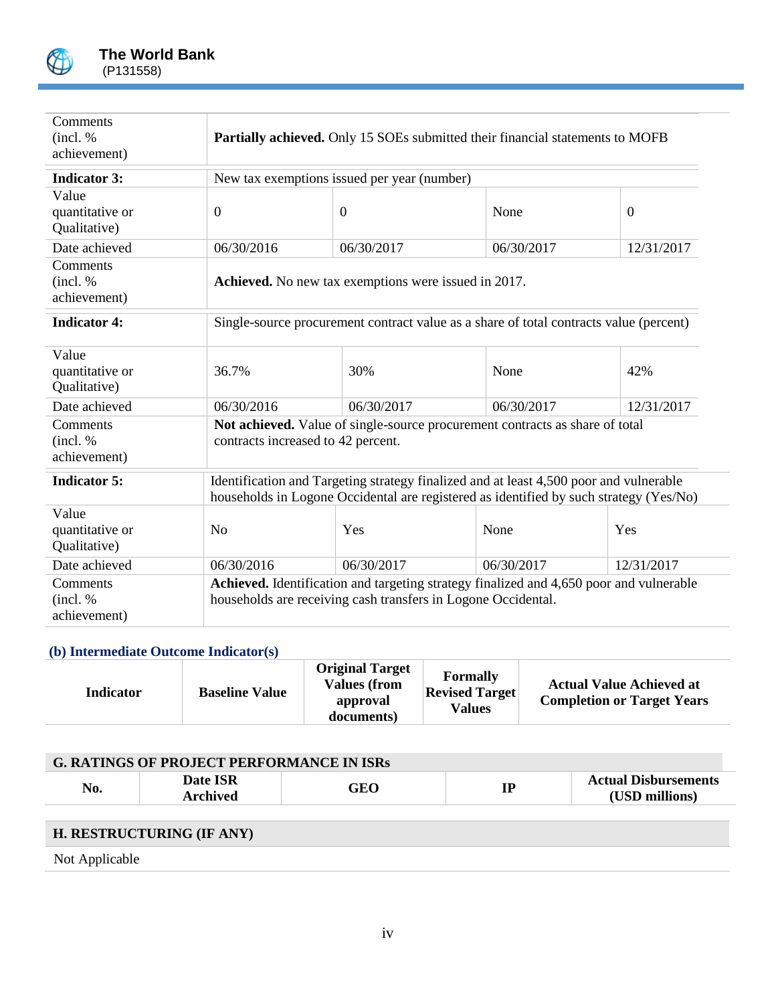

| Comments<br>(incl. %<br>achievement)     | <b>Partially achieved.</b> Only 15 SOEs submitted their financial statements to MOFB                                                                                             |                |            |              |  |  |  |
|------------------------------------------|----------------------------------------------------------------------------------------------------------------------------------------------------------------------------------|----------------|------------|--------------|--|--|--|
| <b>Indicator 3:</b>                      | New tax exemptions issued per year (number)                                                                                                                                      |                |            |              |  |  |  |
| Value<br>quantitative or<br>Qualitative) | $\boldsymbol{0}$                                                                                                                                                                 | $\overline{0}$ | None       | $\mathbf{0}$ |  |  |  |
| Date achieved                            | 06/30/2016                                                                                                                                                                       | 06/30/2017     | 06/30/2017 | 12/31/2017   |  |  |  |
| Comments<br>(incl. %<br>achievement)     | Achieved. No new tax exemptions were issued in 2017.                                                                                                                             |                |            |              |  |  |  |
| <b>Indicator 4:</b>                      | Single-source procurement contract value as a share of total contracts value (percent)                                                                                           |                |            |              |  |  |  |
| Value<br>quantitative or<br>Qualitative) | 36.7%                                                                                                                                                                            | 30%            | None       | 42%          |  |  |  |
| Date achieved                            | 06/30/2016                                                                                                                                                                       | 06/30/2017     | 06/30/2017 | 12/31/2017   |  |  |  |
| Comments<br>(incl. %<br>achievement)     | Not achieved. Value of single-source procurement contracts as share of total<br>contracts increased to 42 percent.                                                               |                |            |              |  |  |  |
| <b>Indicator 5:</b>                      | Identification and Targeting strategy finalized and at least 4,500 poor and vulnerable<br>households in Logone Occidental are registered as identified by such strategy (Yes/No) |                |            |              |  |  |  |
| Value<br>quantitative or<br>Qualitative) | N <sub>o</sub>                                                                                                                                                                   | Yes            | None       | Yes          |  |  |  |
| Date achieved                            | 06/30/2016                                                                                                                                                                       | 06/30/2017     | 06/30/2017 | 12/31/2017   |  |  |  |
| Comments<br>(incl. %<br>achievement)     | Achieved. Identification and targeting strategy finalized and 4,650 poor and vulnerable<br>households are receiving cash transfers in Logone Occidental.                         |                |            |              |  |  |  |

# **(b) Intermediate Outcome Indicator(s)**

| <b>Indicator</b> | <b>Baseline Value</b> | <b>Original Target</b><br><b>Values (from</b><br>approval<br>documents) | <b>Formally</b><br><b>Revised Target</b><br>Values | <b>Actual Value Achieved at</b><br><b>Completion or Target Years</b> |
|------------------|-----------------------|-------------------------------------------------------------------------|----------------------------------------------------|----------------------------------------------------------------------|
|------------------|-----------------------|-------------------------------------------------------------------------|----------------------------------------------------|----------------------------------------------------------------------|

| <b>G. RATINGS OF PROJECT PERFORMANCE IN ISRs</b> |                             |            |    |                                               |  |  |  |  |
|--------------------------------------------------|-----------------------------|------------|----|-----------------------------------------------|--|--|--|--|
| No.                                              | Date ISR<br><b>Archived</b> | <b>GEO</b> | IP | <b>Actual Disbursements</b><br>(USD millions) |  |  |  |  |
|                                                  | H. RESTRUCTURING (IF ANY)   |            |    |                                               |  |  |  |  |
| Not Applicable                                   |                             |            |    |                                               |  |  |  |  |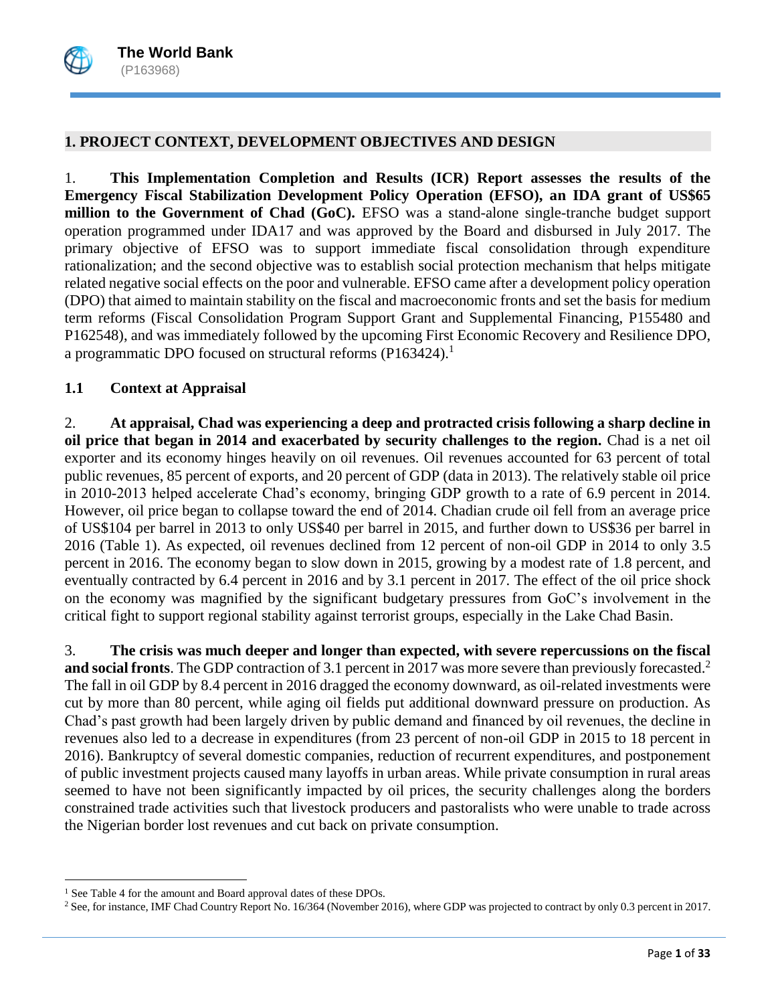### **1. PROJECT CONTEXT, DEVELOPMENT OBJECTIVES AND DESIGN**

1. **This Implementation Completion and Results (ICR) Report assesses the results of the Emergency Fiscal Stabilization Development Policy Operation (EFSO), an IDA grant of US\$65 million to the Government of Chad (GoC).** EFSO was a stand-alone single-tranche budget support operation programmed under IDA17 and was approved by the Board and disbursed in July 2017. The primary objective of EFSO was to support immediate fiscal consolidation through expenditure rationalization; and the second objective was to establish social protection mechanism that helps mitigate related negative social effects on the poor and vulnerable. EFSO came after a development policy operation (DPO) that aimed to maintain stability on the fiscal and macroeconomic fronts and set the basis for medium term reforms (Fiscal Consolidation Program Support Grant and Supplemental Financing, P155480 and P162548), and was immediately followed by the upcoming First Economic Recovery and Resilience DPO, a programmatic DPO focused on structural reforms (P163424).<sup>1</sup>

### **1.1 Context at Appraisal**

2. **At appraisal, Chad was experiencing a deep and protracted crisis following a sharp decline in oil price that began in 2014 and exacerbated by security challenges to the region.** Chad is a net oil exporter and its economy hinges heavily on oil revenues. Oil revenues accounted for 63 percent of total public revenues, 85 percent of exports, and 20 percent of GDP (data in 2013). The relatively stable oil price in 2010-2013 helped accelerate Chad's economy, bringing GDP growth to a rate of 6.9 percent in 2014. However, oil price began to collapse toward the end of 2014. Chadian crude oil fell from an average price of US\$104 per barrel in 2013 to only US\$40 per barrel in 2015, and further down to US\$36 per barrel in 2016 (Table 1). As expected, oil revenues declined from 12 percent of non-oil GDP in 2014 to only 3.5 percent in 2016. The economy began to slow down in 2015, growing by a modest rate of 1.8 percent, and eventually contracted by 6.4 percent in 2016 and by 3.1 percent in 2017. The effect of the oil price shock on the economy was magnified by the significant budgetary pressures from GoC's involvement in the critical fight to support regional stability against terrorist groups, especially in the Lake Chad Basin.

3. **The crisis was much deeper and longer than expected, with severe repercussions on the fiscal**  and social fronts. The GDP contraction of 3.1 percent in 2017 was more severe than previously forecasted.<sup>2</sup> The fall in oil GDP by 8.4 percent in 2016 dragged the economy downward, as oil-related investments were cut by more than 80 percent, while aging oil fields put additional downward pressure on production. As Chad's past growth had been largely driven by public demand and financed by oil revenues, the decline in revenues also led to a decrease in expenditures (from 23 percent of non-oil GDP in 2015 to 18 percent in 2016). Bankruptcy of several domestic companies, reduction of recurrent expenditures, and postponement of public investment projects caused many layoffs in urban areas. While private consumption in rural areas seemed to have not been significantly impacted by oil prices, the security challenges along the borders constrained trade activities such that livestock producers and pastoralists who were unable to trade across the Nigerian border lost revenues and cut back on private consumption.

 $\overline{\phantom{a}}$ 

<sup>&</sup>lt;sup>1</sup> See Table 4 for the amount and Board approval dates of these DPOs.

<sup>2</sup> See, for instance, IMF Chad Country Report No. 16/364 (November 2016), where GDP was projected to contract by only 0.3 percent in 2017.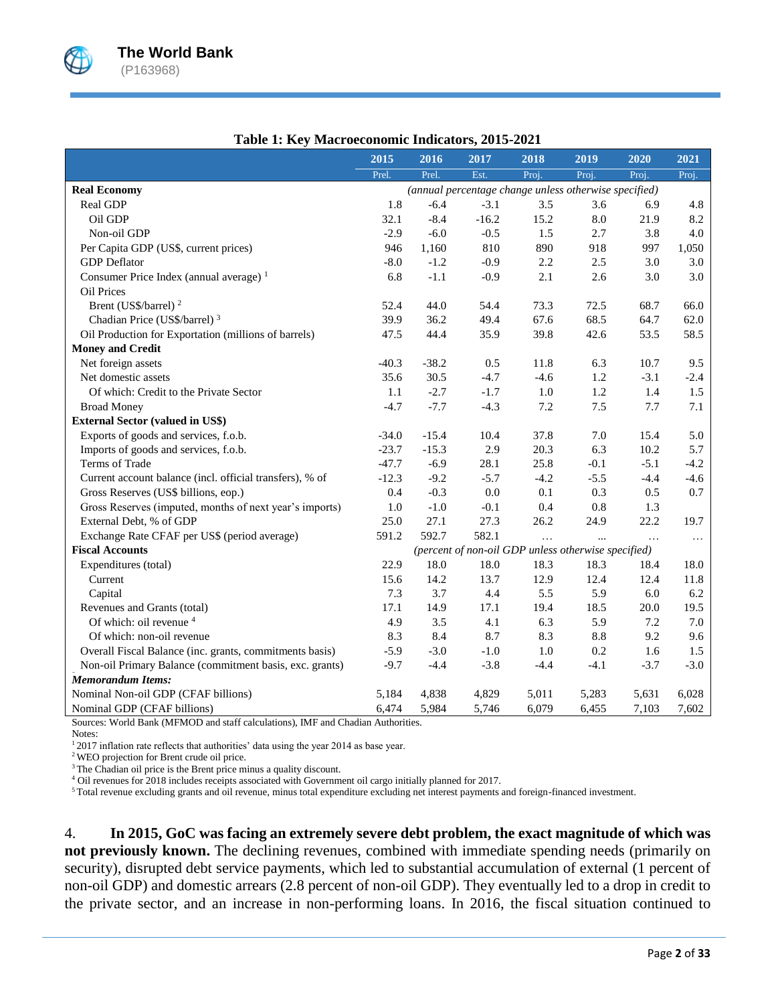

|                                                                                  | 2015    | 2016    | 2017                                                  | 2018     | 2019      | 2020     | 2021     |
|----------------------------------------------------------------------------------|---------|---------|-------------------------------------------------------|----------|-----------|----------|----------|
|                                                                                  | Prel.   | Prel.   | Est.                                                  | Proj.    | Proj.     | Proj.    | Proj.    |
| <b>Real Economy</b>                                                              |         |         | (annual percentage change unless otherwise specified) |          |           |          |          |
| Real GDP                                                                         | 1.8     | $-6.4$  | $-3.1$                                                | 3.5      | 3.6       | 6.9      | 4.8      |
| Oil GDP                                                                          | 32.1    | $-8.4$  | $-16.2$                                               | 15.2     | $\rm 8.0$ | 21.9     | 8.2      |
| Non-oil GDP                                                                      | $-2.9$  | $-6.0$  | $-0.5$                                                | 1.5      | 2.7       | 3.8      | 4.0      |
| Per Capita GDP (US\$, current prices)                                            | 946     | 1,160   | 810                                                   | 890      | 918       | 997      | 1,050    |
| <b>GDP</b> Deflator                                                              | $-8.0$  | $-1.2$  | $-0.9$                                                | 2.2      | 2.5       | 3.0      | 3.0      |
| Consumer Price Index (annual average) <sup>1</sup>                               | 6.8     | $-1.1$  | $-0.9$                                                | 2.1      | 2.6       | 3.0      | 3.0      |
| <b>Oil Prices</b>                                                                |         |         |                                                       |          |           |          |          |
| Brent (US\$/barrel) <sup>2</sup>                                                 | 52.4    | 44.0    | 54.4                                                  | 73.3     | 72.5      | 68.7     | 66.0     |
| Chadian Price (US\$/barrel) <sup>3</sup>                                         | 39.9    | 36.2    | 49.4                                                  | 67.6     | 68.5      | 64.7     | 62.0     |
| Oil Production for Exportation (millions of barrels)                             | 47.5    | 44.4    | 35.9                                                  | 39.8     | 42.6      | 53.5     | 58.5     |
| <b>Money and Credit</b>                                                          |         |         |                                                       |          |           |          |          |
| Net foreign assets                                                               | $-40.3$ | $-38.2$ | 0.5                                                   | 11.8     | 6.3       | 10.7     | 9.5      |
| Net domestic assets                                                              | 35.6    | 30.5    | $-4.7$                                                | $-4.6$   | 1.2       | $-3.1$   | $-2.4$   |
| Of which: Credit to the Private Sector                                           | 1.1     | $-2.7$  | $-1.7$                                                | $1.0\,$  | 1.2       | 1.4      | 1.5      |
| <b>Broad Money</b>                                                               | $-4.7$  | $-7.7$  | $-4.3$                                                | $7.2\,$  | $7.5$     | 7.7      | 7.1      |
| <b>External Sector (valued in US\$)</b>                                          |         |         |                                                       |          |           |          |          |
| Exports of goods and services, f.o.b.                                            | $-34.0$ | $-15.4$ | 10.4                                                  | 37.8     | 7.0       | 15.4     | 5.0      |
| Imports of goods and services, f.o.b.                                            | $-23.7$ | $-15.3$ | 2.9                                                   | 20.3     | 6.3       | 10.2     | 5.7      |
| Terms of Trade                                                                   | $-47.7$ | $-6.9$  | 28.1                                                  | 25.8     | $-0.1$    | $-5.1$   | $-4.2$   |
| Current account balance (incl. official transfers), % of                         | $-12.3$ | $-9.2$  | $-5.7$                                                | $-4.2$   | $-5.5$    | $-4.4$   | $-4.6$   |
| Gross Reserves (US\$ billions, eop.)                                             | 0.4     | $-0.3$  | 0.0                                                   | 0.1      | 0.3       | 0.5      | 0.7      |
| Gross Reserves (imputed, months of next year's imports)                          | 1.0     | $-1.0$  | $-0.1$                                                | 0.4      | 0.8       | 1.3      |          |
| External Debt, % of GDP                                                          | 25.0    | 27.1    | 27.3                                                  | 26.2     | 24.9      | 22.2     | 19.7     |
| Exchange Rate CFAF per US\$ (period average)                                     | 591.2   | 592.7   | 582.1                                                 | $\ddots$ |           | $\cdots$ | $\cdots$ |
| <b>Fiscal Accounts</b>                                                           |         |         | (percent of non-oil GDP unless otherwise specified)   |          |           |          |          |
| Expenditures (total)                                                             | 22.9    | 18.0    | 18.0                                                  | 18.3     | 18.3      | 18.4     | 18.0     |
| Current                                                                          | 15.6    | 14.2    | 13.7                                                  | 12.9     | 12.4      | 12.4     | 11.8     |
| Capital                                                                          | 7.3     | 3.7     | 4.4                                                   | 5.5      | 5.9       | 6.0      | 6.2      |
| Revenues and Grants (total)                                                      | 17.1    | 14.9    | 17.1                                                  | 19.4     | 18.5      | 20.0     | 19.5     |
| Of which: oil revenue 4                                                          | 4.9     | 3.5     | 4.1                                                   | 6.3      | 5.9       | 7.2      | 7.0      |
| Of which: non-oil revenue                                                        | 8.3     | 8.4     | 8.7                                                   | 8.3      | 8.8       | 9.2      | 9.6      |
| Overall Fiscal Balance (inc. grants, commitments basis)                          | $-5.9$  | $-3.0$  | $-1.0$                                                | 1.0      | 0.2       | 1.6      | 1.5      |
| Non-oil Primary Balance (commitment basis, exc. grants)                          | $-9.7$  | $-4.4$  | $-3.8$                                                | $-4.4$   | $-4.1$    | $-3.7$   | $-3.0$   |
| <b>Memorandum Items:</b>                                                         |         |         |                                                       |          |           |          |          |
| Nominal Non-oil GDP (CFAF billions)                                              | 5,184   | 4,838   | 4,829                                                 | 5,011    | 5,283     | 5,631    | 6,028    |
| Nominal GDP (CFAF billions)                                                      | 6,474   | 5,984   | 5,746                                                 | 6,079    | 6,455     | 7,103    | 7,602    |
| Sources: World Bank (MFMOD and staff calculations), IMF and Chadian Authorities. |         |         |                                                       |          |           |          |          |

### **Table 1: Key Macroeconomic Indicators, 2015-2021**

Notes:

<sup>1</sup>2017 inflation rate reflects that authorities' data using the year 2014 as base year.

<sup>2</sup>WEO projection for Brent crude oil price.

<sup>3</sup>The Chadian oil price is the Brent price minus a quality discount.

<sup>4</sup> Oil revenues for 2018 includes receipts associated with Government oil cargo initially planned for 2017.

<sup>5</sup>Total revenue excluding grants and oil revenue, minus total expenditure excluding net interest payments and foreign-financed investment.

4. **In 2015, GoC was facing an extremely severe debt problem, the exact magnitude of which was not previously known.** The declining revenues, combined with immediate spending needs (primarily on security), disrupted debt service payments, which led to substantial accumulation of external (1 percent of non-oil GDP) and domestic arrears (2.8 percent of non-oil GDP). They eventually led to a drop in credit to the private sector, and an increase in non-performing loans. In 2016, the fiscal situation continued to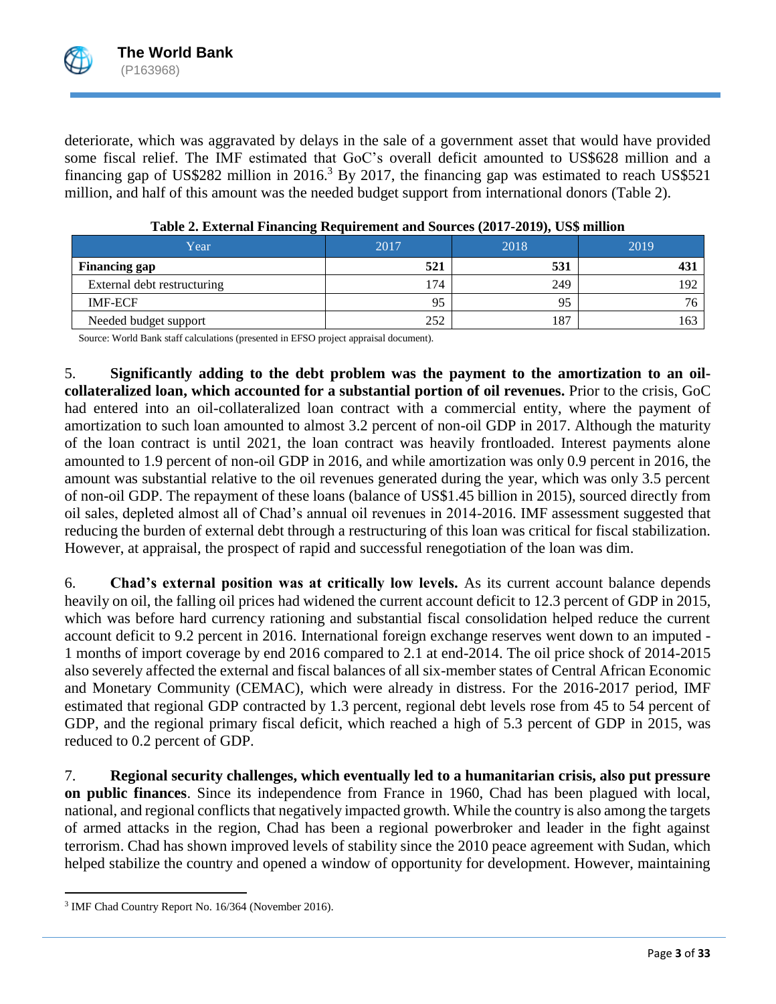deteriorate, which was aggravated by delays in the sale of a government asset that would have provided some fiscal relief. The IMF estimated that GoC's overall deficit amounted to US\$628 million and a financing gap of US\$282 million in 2016.<sup>3</sup> By 2017, the financing gap was estimated to reach US\$521 million, and half of this amount was the needed budget support from international donors (Table 2).

| Year                        | 2017 | 2018 | 2019 |
|-----------------------------|------|------|------|
| <b>Financing gap</b>        | 521  | 531  |      |
| External debt restructuring | '74  | 249  | 192  |
| <b>IMF-ECF</b>              | 95   | 95   | 76   |
| Needed budget support       | 252  | 187  | 163  |

| Table 2. External Financing Requirement and Sources (2017-2019), US\$ million |  |  |  |  |  |
|-------------------------------------------------------------------------------|--|--|--|--|--|
|-------------------------------------------------------------------------------|--|--|--|--|--|

Source: World Bank staff calculations (presented in EFSO project appraisal document).

5. **Significantly adding to the debt problem was the payment to the amortization to an oilcollateralized loan, which accounted for a substantial portion of oil revenues.** Prior to the crisis, GoC had entered into an oil-collateralized loan contract with a commercial entity, where the payment of amortization to such loan amounted to almost 3.2 percent of non-oil GDP in 2017. Although the maturity of the loan contract is until 2021, the loan contract was heavily frontloaded. Interest payments alone amounted to 1.9 percent of non-oil GDP in 2016, and while amortization was only 0.9 percent in 2016, the amount was substantial relative to the oil revenues generated during the year, which was only 3.5 percent of non-oil GDP. The repayment of these loans (balance of US\$1.45 billion in 2015), sourced directly from oil sales, depleted almost all of Chad's annual oil revenues in 2014-2016. IMF assessment suggested that reducing the burden of external debt through a restructuring of this loan was critical for fiscal stabilization. However, at appraisal, the prospect of rapid and successful renegotiation of the loan was dim.

6. **Chad's external position was at critically low levels.** As its current account balance depends heavily on oil, the falling oil prices had widened the current account deficit to 12.3 percent of GDP in 2015, which was before hard currency rationing and substantial fiscal consolidation helped reduce the current account deficit to 9.2 percent in 2016. International foreign exchange reserves went down to an imputed - 1 months of import coverage by end 2016 compared to 2.1 at end-2014. The oil price shock of 2014-2015 also severely affected the external and fiscal balances of all six-member states of Central African Economic and Monetary Community (CEMAC), which were already in distress. For the 2016-2017 period, IMF estimated that regional GDP contracted by 1.3 percent, regional debt levels rose from 45 to 54 percent of GDP, and the regional primary fiscal deficit, which reached a high of 5.3 percent of GDP in 2015, was reduced to 0.2 percent of GDP.

7. **Regional security challenges, which eventually led to a humanitarian crisis, also put pressure on public finances**. Since its independence from France in 1960, Chad has been plagued with local, national, and regional conflicts that negatively impacted growth. While the country is also among the targets of armed attacks in the region, Chad has been a regional powerbroker and leader in the fight against terrorism. Chad has shown improved levels of stability since the 2010 peace agreement with Sudan, which helped stabilize the country and opened a window of opportunity for development. However, maintaining

 $\overline{a}$ 

<sup>&</sup>lt;sup>3</sup> IMF Chad Country Report No. 16/364 (November 2016).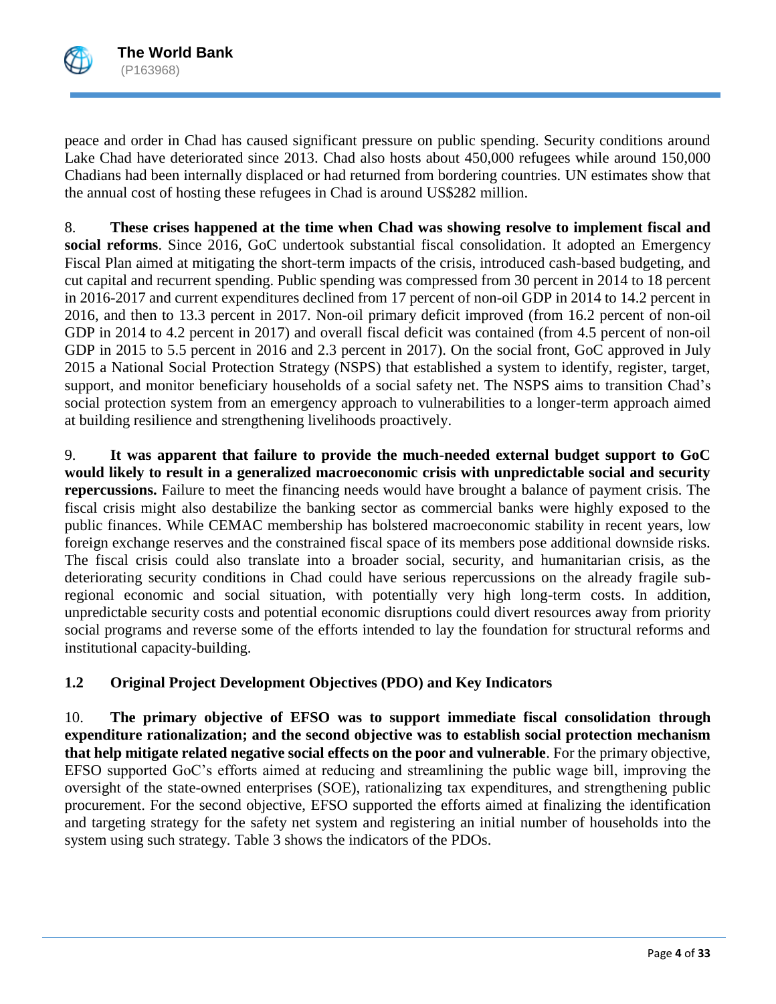

peace and order in Chad has caused significant pressure on public spending. Security conditions around Lake Chad have deteriorated since 2013. Chad also hosts about 450,000 refugees while around 150,000 Chadians had been internally displaced or had returned from bordering countries. UN estimates show that the annual cost of hosting these refugees in Chad is around US\$282 million.

8. **These crises happened at the time when Chad was showing resolve to implement fiscal and social reforms**. Since 2016, GoC undertook substantial fiscal consolidation. It adopted an Emergency Fiscal Plan aimed at mitigating the short-term impacts of the crisis, introduced cash-based budgeting, and cut capital and recurrent spending. Public spending was compressed from 30 percent in 2014 to 18 percent in 2016-2017 and current expenditures declined from 17 percent of non-oil GDP in 2014 to 14.2 percent in 2016, and then to 13.3 percent in 2017. Non-oil primary deficit improved (from 16.2 percent of non-oil GDP in 2014 to 4.2 percent in 2017) and overall fiscal deficit was contained (from 4.5 percent of non-oil GDP in 2015 to 5.5 percent in 2016 and 2.3 percent in 2017). On the social front, GoC approved in July 2015 a National Social Protection Strategy (NSPS) that established a system to identify, register, target, support, and monitor beneficiary households of a social safety net. The NSPS aims to transition Chad's social protection system from an emergency approach to vulnerabilities to a longer-term approach aimed at building resilience and strengthening livelihoods proactively.

9. **It was apparent that failure to provide the much-needed external budget support to GoC would likely to result in a generalized macroeconomic crisis with unpredictable social and security repercussions.** Failure to meet the financing needs would have brought a balance of payment crisis. The fiscal crisis might also destabilize the banking sector as commercial banks were highly exposed to the public finances. While CEMAC membership has bolstered macroeconomic stability in recent years, low foreign exchange reserves and the constrained fiscal space of its members pose additional downside risks. The fiscal crisis could also translate into a broader social, security, and humanitarian crisis, as the deteriorating security conditions in Chad could have serious repercussions on the already fragile subregional economic and social situation, with potentially very high long-term costs. In addition, unpredictable security costs and potential economic disruptions could divert resources away from priority social programs and reverse some of the efforts intended to lay the foundation for structural reforms and institutional capacity-building.

# **1.2 Original Project Development Objectives (PDO) and Key Indicators**

10. **The primary objective of EFSO was to support immediate fiscal consolidation through expenditure rationalization; and the second objective was to establish social protection mechanism that help mitigate related negative social effects on the poor and vulnerable**. For the primary objective, EFSO supported GoC's efforts aimed at reducing and streamlining the public wage bill, improving the oversight of the state-owned enterprises (SOE), rationalizing tax expenditures, and strengthening public procurement. For the second objective, EFSO supported the efforts aimed at finalizing the identification and targeting strategy for the safety net system and registering an initial number of households into the system using such strategy. Table 3 shows the indicators of the PDOs.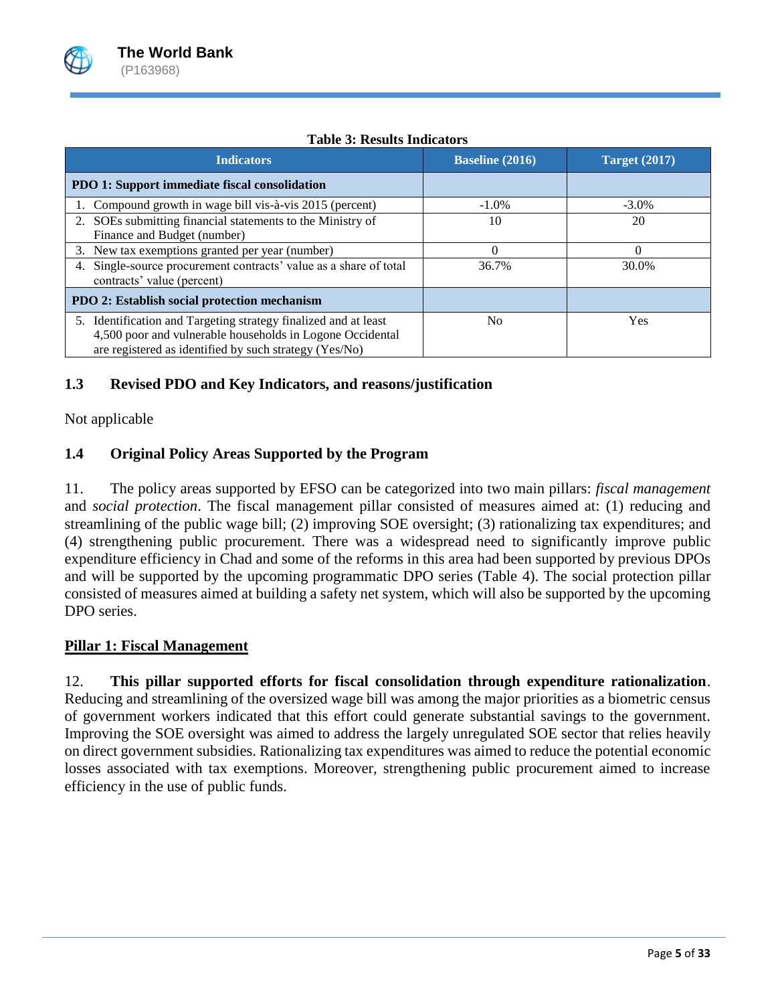

| <b>Indicators</b>                                                                                                                                                                      | <b>Baseline</b> (2016) | <b>Target</b> (2017) |
|----------------------------------------------------------------------------------------------------------------------------------------------------------------------------------------|------------------------|----------------------|
| PDO 1: Support immediate fiscal consolidation                                                                                                                                          |                        |                      |
| 1. Compound growth in wage bill vis-à-vis 2015 (percent)                                                                                                                               | $-1.0\%$               | $-3.0\%$             |
| 2. SOEs submitting financial statements to the Ministry of<br>Finance and Budget (number)                                                                                              | 10                     | 20                   |
| 3. New tax exemptions granted per year (number)                                                                                                                                        | $\Omega$               | 0                    |
| 4. Single-source procurement contracts' value as a share of total<br>contracts' value (percent)                                                                                        | 36.7%                  | 30.0%                |
| PDO 2: Establish social protection mechanism                                                                                                                                           |                        |                      |
| 5. Identification and Targeting strategy finalized and at least<br>4,500 poor and vulnerable households in Logone Occidental<br>are registered as identified by such strategy (Yes/No) | No                     | Yes                  |

# **Table 3: Results Indicators**

# **1.3 Revised PDO and Key Indicators, and reasons/justification**

Not applicable

# **1.4 Original Policy Areas Supported by the Program**

11. The policy areas supported by EFSO can be categorized into two main pillars: *fiscal management* and *social protection*. The fiscal management pillar consisted of measures aimed at: (1) reducing and streamlining of the public wage bill; (2) improving SOE oversight; (3) rationalizing tax expenditures; and (4) strengthening public procurement. There was a widespread need to significantly improve public expenditure efficiency in Chad and some of the reforms in this area had been supported by previous DPOs and will be supported by the upcoming programmatic DPO series (Table 4). The social protection pillar consisted of measures aimed at building a safety net system, which will also be supported by the upcoming DPO series.

# **Pillar 1: Fiscal Management**

12. **This pillar supported efforts for fiscal consolidation through expenditure rationalization**. Reducing and streamlining of the oversized wage bill was among the major priorities as a biometric census of government workers indicated that this effort could generate substantial savings to the government. Improving the SOE oversight was aimed to address the largely unregulated SOE sector that relies heavily on direct government subsidies. Rationalizing tax expenditures was aimed to reduce the potential economic losses associated with tax exemptions. Moreover, strengthening public procurement aimed to increase efficiency in the use of public funds.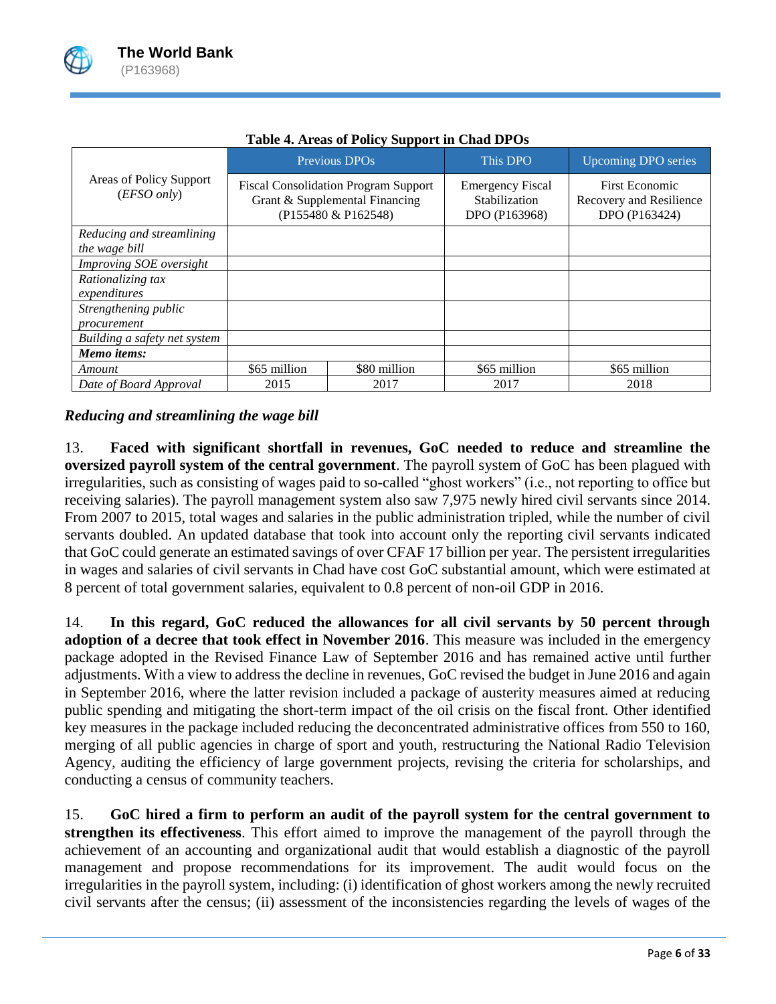

|                                            |              | Previous DPO <sub>s</sub>                                                                            | This DPO                                                  | <b>Upcoming DPO series</b>                                        |
|--------------------------------------------|--------------|------------------------------------------------------------------------------------------------------|-----------------------------------------------------------|-------------------------------------------------------------------|
| Areas of Policy Support<br>(EFSO only)     |              | <b>Fiscal Consolidation Program Support</b><br>Grant & Supplemental Financing<br>(P155480 & P162548) | <b>Emergency Fiscal</b><br>Stabilization<br>DPO (P163968) | <b>First Economic</b><br>Recovery and Resilience<br>DPO (P163424) |
| Reducing and streamlining<br>the wage bill |              |                                                                                                      |                                                           |                                                                   |
| <i>Improving SOE oversight</i>             |              |                                                                                                      |                                                           |                                                                   |
| Rationalizing tax<br>expenditures          |              |                                                                                                      |                                                           |                                                                   |
| Strengthening public<br>procurement        |              |                                                                                                      |                                                           |                                                                   |
| Building a safety net system               |              |                                                                                                      |                                                           |                                                                   |
| Memo items:                                |              |                                                                                                      |                                                           |                                                                   |
| Amount                                     | \$65 million | \$80 million                                                                                         | \$65 million                                              | \$65 million                                                      |
| Date of Board Approval                     | 2015         | 2017                                                                                                 | 2017                                                      | 2018                                                              |

### **Table 4. Areas of Policy Support in Chad DPOs**

*Reducing and streamlining the wage bill*

13. **Faced with significant shortfall in revenues, GoC needed to reduce and streamline the oversized payroll system of the central government**. The payroll system of GoC has been plagued with irregularities, such as consisting of wages paid to so-called "ghost workers" (i.e., not reporting to office but receiving salaries). The payroll management system also saw 7,975 newly hired civil servants since 2014. From 2007 to 2015, total wages and salaries in the public administration tripled, while the number of civil servants doubled. An updated database that took into account only the reporting civil servants indicated that GoC could generate an estimated savings of over CFAF 17 billion per year. The persistent irregularities in wages and salaries of civil servants in Chad have cost GoC substantial amount, which were estimated at 8 percent of total government salaries, equivalent to 0.8 percent of non-oil GDP in 2016.

14. **In this regard, GoC reduced the allowances for all civil servants by 50 percent through adoption of a decree that took effect in November 2016**. This measure was included in the emergency package adopted in the Revised Finance Law of September 2016 and has remained active until further adjustments. With a view to address the decline in revenues, GoC revised the budget in June 2016 and again in September 2016, where the latter revision included a package of austerity measures aimed at reducing public spending and mitigating the short-term impact of the oil crisis on the fiscal front. Other identified key measures in the package included reducing the deconcentrated administrative offices from 550 to 160, merging of all public agencies in charge of sport and youth, restructuring the National Radio Television Agency, auditing the efficiency of large government projects, revising the criteria for scholarships, and conducting a census of community teachers.

15. **GoC hired a firm to perform an audit of the payroll system for the central government to strengthen its effectiveness**. This effort aimed to improve the management of the payroll through the achievement of an accounting and organizational audit that would establish a diagnostic of the payroll management and propose recommendations for its improvement. The audit would focus on the irregularities in the payroll system, including: (i) identification of ghost workers among the newly recruited civil servants after the census; (ii) assessment of the inconsistencies regarding the levels of wages of the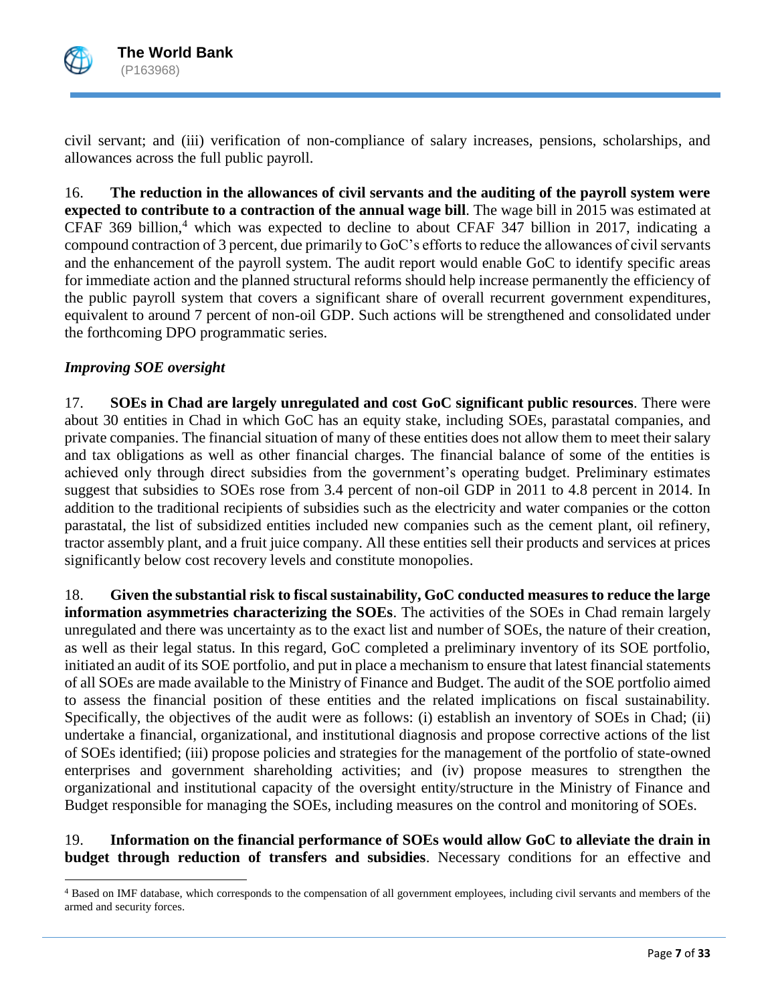

 $\overline{\phantom{a}}$ 

civil servant; and (iii) verification of non-compliance of salary increases, pensions, scholarships, and allowances across the full public payroll.

16. **The reduction in the allowances of civil servants and the auditing of the payroll system were expected to contribute to a contraction of the annual wage bill**. The wage bill in 2015 was estimated at CFAF 369 billion,<sup>4</sup> which was expected to decline to about CFAF 347 billion in 2017, indicating a compound contraction of 3 percent, due primarily to GoC's efforts to reduce the allowances of civil servants and the enhancement of the payroll system. The audit report would enable GoC to identify specific areas for immediate action and the planned structural reforms should help increase permanently the efficiency of the public payroll system that covers a significant share of overall recurrent government expenditures, equivalent to around 7 percent of non-oil GDP. Such actions will be strengthened and consolidated under the forthcoming DPO programmatic series.

# *Improving SOE oversight*

17. **SOEs in Chad are largely unregulated and cost GoC significant public resources**. There were about 30 entities in Chad in which GoC has an equity stake, including SOEs, parastatal companies, and private companies. The financial situation of many of these entities does not allow them to meet their salary and tax obligations as well as other financial charges. The financial balance of some of the entities is achieved only through direct subsidies from the government's operating budget. Preliminary estimates suggest that subsidies to SOEs rose from 3.4 percent of non-oil GDP in 2011 to 4.8 percent in 2014. In addition to the traditional recipients of subsidies such as the electricity and water companies or the cotton parastatal, the list of subsidized entities included new companies such as the cement plant, oil refinery, tractor assembly plant, and a fruit juice company. All these entities sell their products and services at prices significantly below cost recovery levels and constitute monopolies.

18. **Given the substantial risk to fiscal sustainability, GoC conducted measures to reduce the large information asymmetries characterizing the SOEs**. The activities of the SOEs in Chad remain largely unregulated and there was uncertainty as to the exact list and number of SOEs, the nature of their creation, as well as their legal status. In this regard, GoC completed a preliminary inventory of its SOE portfolio, initiated an audit of its SOE portfolio, and put in place a mechanism to ensure that latest financial statements of all SOEs are made available to the Ministry of Finance and Budget. The audit of the SOE portfolio aimed to assess the financial position of these entities and the related implications on fiscal sustainability. Specifically, the objectives of the audit were as follows: (i) establish an inventory of SOEs in Chad; (ii) undertake a financial, organizational, and institutional diagnosis and propose corrective actions of the list of SOEs identified; (iii) propose policies and strategies for the management of the portfolio of state-owned enterprises and government shareholding activities; and (iv) propose measures to strengthen the organizational and institutional capacity of the oversight entity/structure in the Ministry of Finance and Budget responsible for managing the SOEs, including measures on the control and monitoring of SOEs.

19. **Information on the financial performance of SOEs would allow GoC to alleviate the drain in budget through reduction of transfers and subsidies**. Necessary conditions for an effective and

<sup>&</sup>lt;sup>4</sup> Based on IMF database, which corresponds to the compensation of all government employees, including civil servants and members of the armed and security forces.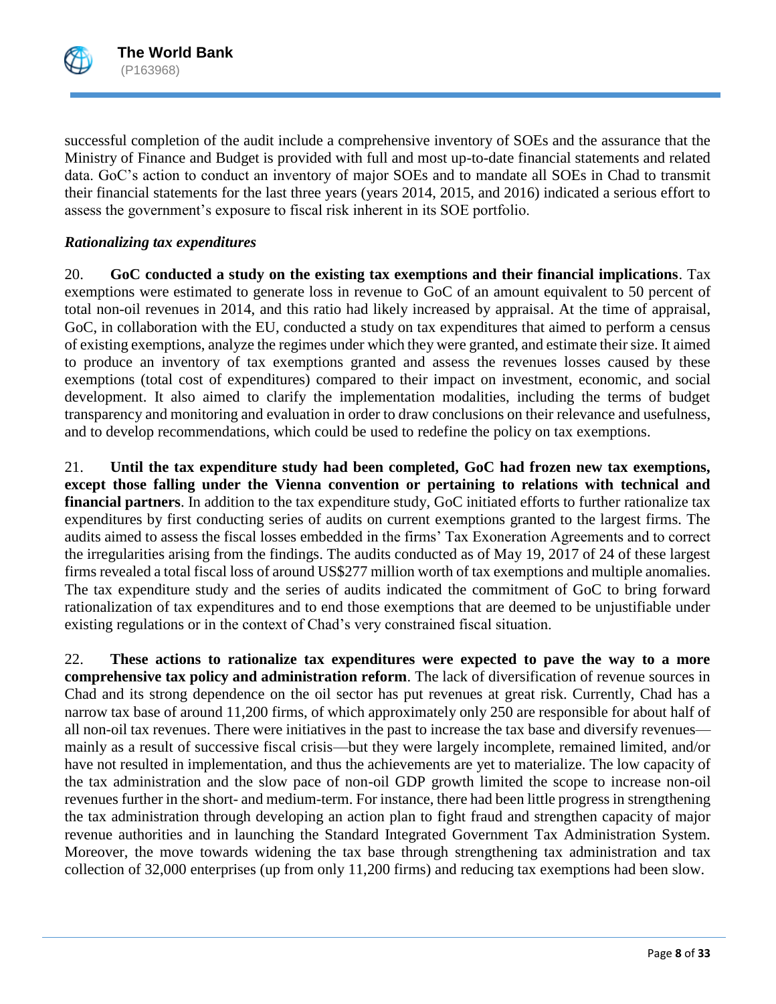

successful completion of the audit include a comprehensive inventory of SOEs and the assurance that the Ministry of Finance and Budget is provided with full and most up-to-date financial statements and related data. GoC's action to conduct an inventory of major SOEs and to mandate all SOEs in Chad to transmit their financial statements for the last three years (years 2014, 2015, and 2016) indicated a serious effort to assess the government's exposure to fiscal risk inherent in its SOE portfolio.

### *Rationalizing tax expenditures*

20. **GoC conducted a study on the existing tax exemptions and their financial implications**. Tax exemptions were estimated to generate loss in revenue to GoC of an amount equivalent to 50 percent of total non-oil revenues in 2014, and this ratio had likely increased by appraisal. At the time of appraisal, GoC, in collaboration with the EU, conducted a study on tax expenditures that aimed to perform a census of existing exemptions, analyze the regimes under which they were granted, and estimate their size. It aimed to produce an inventory of tax exemptions granted and assess the revenues losses caused by these exemptions (total cost of expenditures) compared to their impact on investment, economic, and social development. It also aimed to clarify the implementation modalities, including the terms of budget transparency and monitoring and evaluation in order to draw conclusions on their relevance and usefulness, and to develop recommendations, which could be used to redefine the policy on tax exemptions.

21. **Until the tax expenditure study had been completed, GoC had frozen new tax exemptions, except those falling under the Vienna convention or pertaining to relations with technical and financial partners**. In addition to the tax expenditure study, GoC initiated efforts to further rationalize tax expenditures by first conducting series of audits on current exemptions granted to the largest firms. The audits aimed to assess the fiscal losses embedded in the firms' Tax Exoneration Agreements and to correct the irregularities arising from the findings. The audits conducted as of May 19, 2017 of 24 of these largest firms revealed a total fiscal loss of around US\$277 million worth of tax exemptions and multiple anomalies. The tax expenditure study and the series of audits indicated the commitment of GoC to bring forward rationalization of tax expenditures and to end those exemptions that are deemed to be unjustifiable under existing regulations or in the context of Chad's very constrained fiscal situation.

22. **These actions to rationalize tax expenditures were expected to pave the way to a more comprehensive tax policy and administration reform**. The lack of diversification of revenue sources in Chad and its strong dependence on the oil sector has put revenues at great risk. Currently, Chad has a narrow tax base of around 11,200 firms, of which approximately only 250 are responsible for about half of all non-oil tax revenues. There were initiatives in the past to increase the tax base and diversify revenues mainly as a result of successive fiscal crisis—but they were largely incomplete, remained limited, and/or have not resulted in implementation, and thus the achievements are yet to materialize. The low capacity of the tax administration and the slow pace of non-oil GDP growth limited the scope to increase non-oil revenues further in the short- and medium-term. For instance, there had been little progress in strengthening the tax administration through developing an action plan to fight fraud and strengthen capacity of major revenue authorities and in launching the Standard Integrated Government Tax Administration System. Moreover, the move towards widening the tax base through strengthening tax administration and tax collection of 32,000 enterprises (up from only 11,200 firms) and reducing tax exemptions had been slow.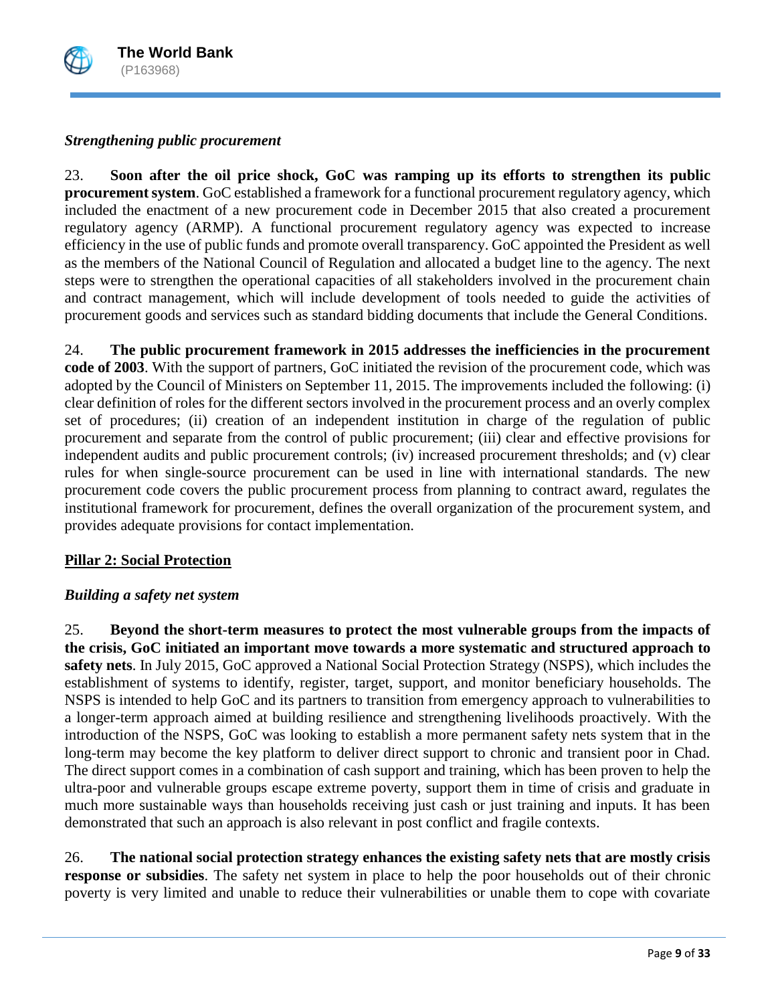

# *Strengthening public procurement*

23. **Soon after the oil price shock, GoC was ramping up its efforts to strengthen its public procurement system**. GoC established a framework for a functional procurement regulatory agency, which included the enactment of a new procurement code in December 2015 that also created a procurement regulatory agency (ARMP). A functional procurement regulatory agency was expected to increase efficiency in the use of public funds and promote overall transparency. GoC appointed the President as well as the members of the National Council of Regulation and allocated a budget line to the agency. The next steps were to strengthen the operational capacities of all stakeholders involved in the procurement chain and contract management, which will include development of tools needed to guide the activities of procurement goods and services such as standard bidding documents that include the General Conditions.

24. **The public procurement framework in 2015 addresses the inefficiencies in the procurement code of 2003**. With the support of partners, GoC initiated the revision of the procurement code, which was adopted by the Council of Ministers on September 11, 2015. The improvements included the following: (i) clear definition of roles for the different sectors involved in the procurement process and an overly complex set of procedures; (ii) creation of an independent institution in charge of the regulation of public procurement and separate from the control of public procurement; (iii) clear and effective provisions for independent audits and public procurement controls; (iv) increased procurement thresholds; and (v) clear rules for when single-source procurement can be used in line with international standards. The new procurement code covers the public procurement process from planning to contract award, regulates the institutional framework for procurement, defines the overall organization of the procurement system, and provides adequate provisions for contact implementation.

### **Pillar 2: Social Protection**

### *Building a safety net system*

25. **Beyond the short-term measures to protect the most vulnerable groups from the impacts of the crisis, GoC initiated an important move towards a more systematic and structured approach to safety nets**. In July 2015, GoC approved a National Social Protection Strategy (NSPS), which includes the establishment of systems to identify, register, target, support, and monitor beneficiary households. The NSPS is intended to help GoC and its partners to transition from emergency approach to vulnerabilities to a longer-term approach aimed at building resilience and strengthening livelihoods proactively. With the introduction of the NSPS, GoC was looking to establish a more permanent safety nets system that in the long-term may become the key platform to deliver direct support to chronic and transient poor in Chad. The direct support comes in a combination of cash support and training, which has been proven to help the ultra-poor and vulnerable groups escape extreme poverty, support them in time of crisis and graduate in much more sustainable ways than households receiving just cash or just training and inputs. It has been demonstrated that such an approach is also relevant in post conflict and fragile contexts.

26. **The national social protection strategy enhances the existing safety nets that are mostly crisis response or subsidies**. The safety net system in place to help the poor households out of their chronic poverty is very limited and unable to reduce their vulnerabilities or unable them to cope with covariate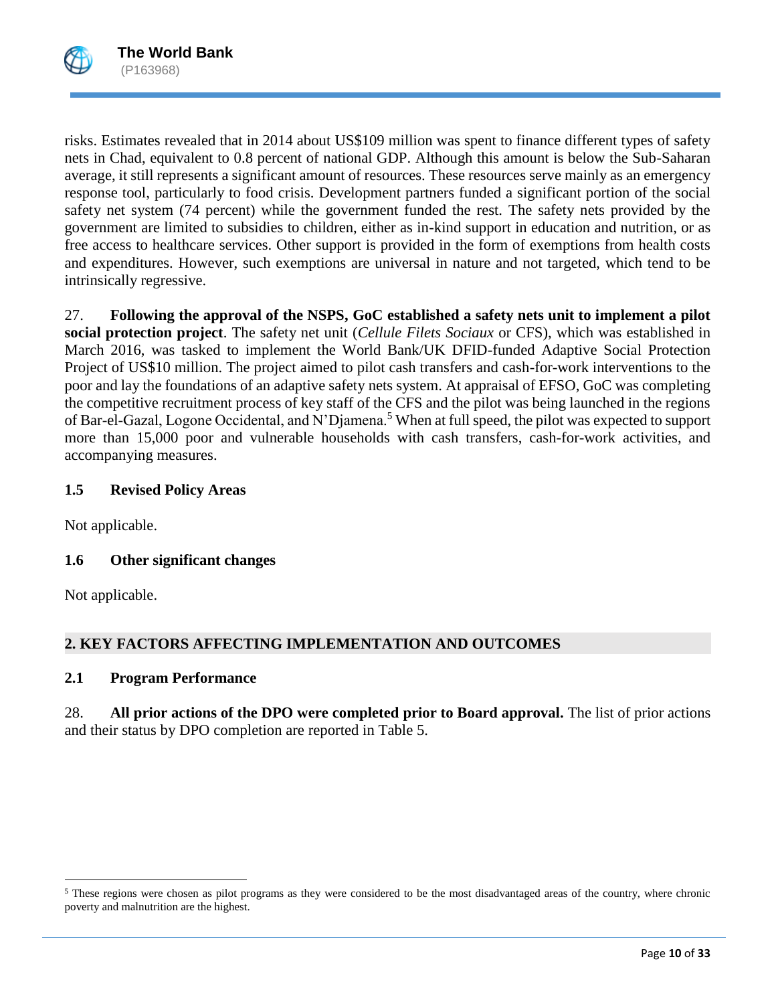risks. Estimates revealed that in 2014 about US\$109 million was spent to finance different types of safety nets in Chad, equivalent to 0.8 percent of national GDP. Although this amount is below the Sub-Saharan average, it still represents a significant amount of resources. These resources serve mainly as an emergency response tool, particularly to food crisis. Development partners funded a significant portion of the social safety net system (74 percent) while the government funded the rest. The safety nets provided by the government are limited to subsidies to children, either as in-kind support in education and nutrition, or as free access to healthcare services. Other support is provided in the form of exemptions from health costs and expenditures. However, such exemptions are universal in nature and not targeted, which tend to be intrinsically regressive.

27. **Following the approval of the NSPS, GoC established a safety nets unit to implement a pilot social protection project**. The safety net unit (*Cellule Filets Sociaux* or CFS), which was established in March 2016, was tasked to implement the World Bank/UK DFID-funded Adaptive Social Protection Project of US\$10 million. The project aimed to pilot cash transfers and cash-for-work interventions to the poor and lay the foundations of an adaptive safety nets system. At appraisal of EFSO, GoC was completing the competitive recruitment process of key staff of the CFS and the pilot was being launched in the regions of Bar-el-Gazal, Logone Occidental, and N'Djamena.<sup>5</sup> When at full speed, the pilot was expected to support more than 15,000 poor and vulnerable households with cash transfers, cash-for-work activities, and accompanying measures.

# **1.5 Revised Policy Areas**

Not applicable.

# **1.6 Other significant changes**

Not applicable.

 $\overline{\phantom{a}}$ 

# **2. KEY FACTORS AFFECTING IMPLEMENTATION AND OUTCOMES**

# **2.1 Program Performance**

28. **All prior actions of the DPO were completed prior to Board approval.** The list of prior actions and their status by DPO completion are reported in Table 5.

 $<sup>5</sup>$  These regions were chosen as pilot programs as they were considered to be the most disadvantaged areas of the country, where chronic</sup> poverty and malnutrition are the highest.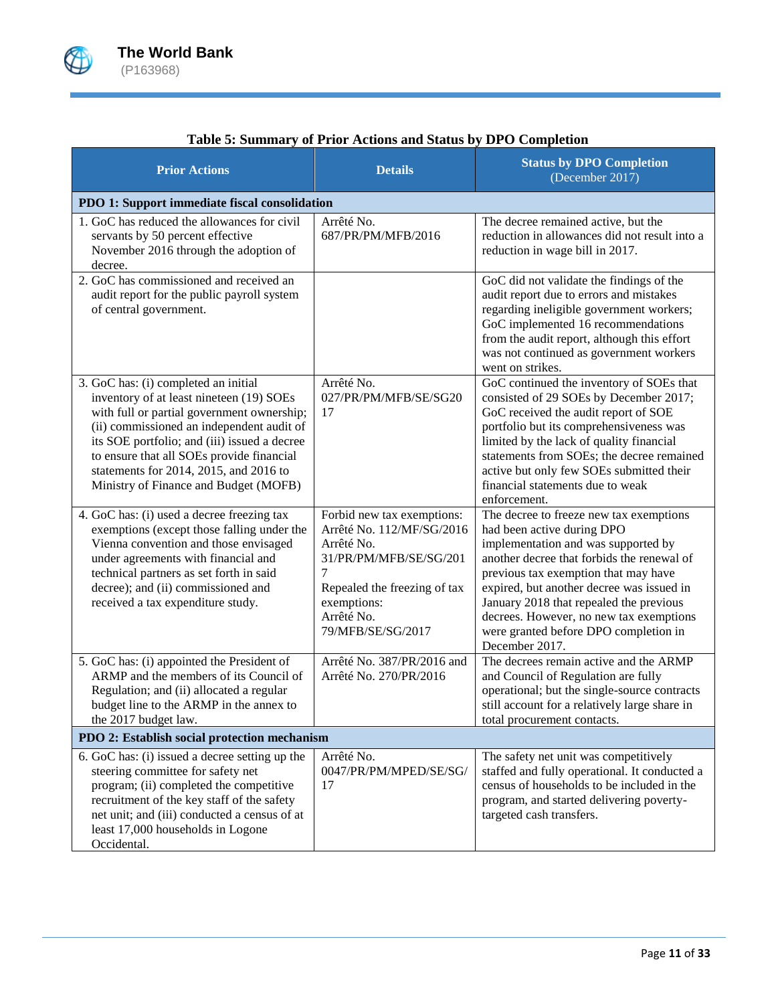

| <b>Prior Actions</b>                                                                                                                                                                                                                                                                                                                                        | <b>Details</b>                                                                                                                                                                         | <b>Status by DPO Completion</b><br>(December 2017)                                                                                                                                                                                                                                                                                                                                               |  |  |  |  |  |  |
|-------------------------------------------------------------------------------------------------------------------------------------------------------------------------------------------------------------------------------------------------------------------------------------------------------------------------------------------------------------|----------------------------------------------------------------------------------------------------------------------------------------------------------------------------------------|--------------------------------------------------------------------------------------------------------------------------------------------------------------------------------------------------------------------------------------------------------------------------------------------------------------------------------------------------------------------------------------------------|--|--|--|--|--|--|
| PDO 1: Support immediate fiscal consolidation                                                                                                                                                                                                                                                                                                               |                                                                                                                                                                                        |                                                                                                                                                                                                                                                                                                                                                                                                  |  |  |  |  |  |  |
| 1. GoC has reduced the allowances for civil<br>servants by 50 percent effective<br>November 2016 through the adoption of<br>decree.                                                                                                                                                                                                                         | Arrêté No.<br>687/PR/PM/MFB/2016                                                                                                                                                       | The decree remained active, but the<br>reduction in allowances did not result into a<br>reduction in wage bill in 2017.                                                                                                                                                                                                                                                                          |  |  |  |  |  |  |
| 2. GoC has commissioned and received an<br>audit report for the public payroll system<br>of central government.                                                                                                                                                                                                                                             |                                                                                                                                                                                        | GoC did not validate the findings of the<br>audit report due to errors and mistakes<br>regarding ineligible government workers;<br>GoC implemented 16 recommendations<br>from the audit report, although this effort<br>was not continued as government workers<br>went on strikes.                                                                                                              |  |  |  |  |  |  |
| 3. GoC has: (i) completed an initial<br>inventory of at least nineteen (19) SOEs<br>with full or partial government ownership;<br>(ii) commissioned an independent audit of<br>its SOE portfolio; and (iii) issued a decree<br>to ensure that all SOEs provide financial<br>statements for 2014, 2015, and 2016 to<br>Ministry of Finance and Budget (MOFB) | Arrêté No.<br>027/PR/PM/MFB/SE/SG20<br>17                                                                                                                                              | GoC continued the inventory of SOEs that<br>consisted of 29 SOEs by December 2017;<br>GoC received the audit report of SOE<br>portfolio but its comprehensiveness was<br>limited by the lack of quality financial<br>statements from SOEs; the decree remained<br>active but only few SOEs submitted their<br>financial statements due to weak<br>enforcement.                                   |  |  |  |  |  |  |
| 4. GoC has: (i) used a decree freezing tax<br>exemptions (except those falling under the<br>Vienna convention and those envisaged<br>under agreements with financial and<br>technical partners as set forth in said<br>decree); and (ii) commissioned and<br>received a tax expenditure study.                                                              | Forbid new tax exemptions:<br>Arrêté No. 112/MF/SG/2016<br>Arrêté No.<br>31/PR/PM/MFB/SE/SG/201<br>7<br>Repealed the freezing of tax<br>exemptions:<br>Arrêté No.<br>79/MFB/SE/SG/2017 | The decree to freeze new tax exemptions<br>had been active during DPO<br>implementation and was supported by<br>another decree that forbids the renewal of<br>previous tax exemption that may have<br>expired, but another decree was issued in<br>January 2018 that repealed the previous<br>decrees. However, no new tax exemptions<br>were granted before DPO completion in<br>December 2017. |  |  |  |  |  |  |
| 5. GoC has: (i) appointed the President of<br>ARMP and the members of its Council of<br>Regulation; and (ii) allocated a regular<br>budget line to the ARMP in the annex to<br>the 2017 budget law.                                                                                                                                                         | Arrêté No. 387/PR/2016 and<br>Arrêté No. 270/PR/2016                                                                                                                                   | The decrees remain active and the ARMP<br>and Council of Regulation are fully<br>operational; but the single-source contracts<br>still account for a relatively large share in<br>total procurement contacts.                                                                                                                                                                                    |  |  |  |  |  |  |
| PDO 2: Establish social protection mechanism                                                                                                                                                                                                                                                                                                                |                                                                                                                                                                                        |                                                                                                                                                                                                                                                                                                                                                                                                  |  |  |  |  |  |  |
| 6. GoC has: (i) issued a decree setting up the<br>steering committee for safety net<br>program; (ii) completed the competitive<br>recruitment of the key staff of the safety<br>net unit; and (iii) conducted a census of at<br>least 17,000 households in Logone<br>Occidental.                                                                            | Arrêté No.<br>0047/PR/PM/MPED/SE/SG/<br>17                                                                                                                                             | The safety net unit was competitively<br>staffed and fully operational. It conducted a<br>census of households to be included in the<br>program, and started delivering poverty-<br>targeted cash transfers.                                                                                                                                                                                     |  |  |  |  |  |  |

# **Table 5: Summary of Prior Actions and Status by DPO Completion**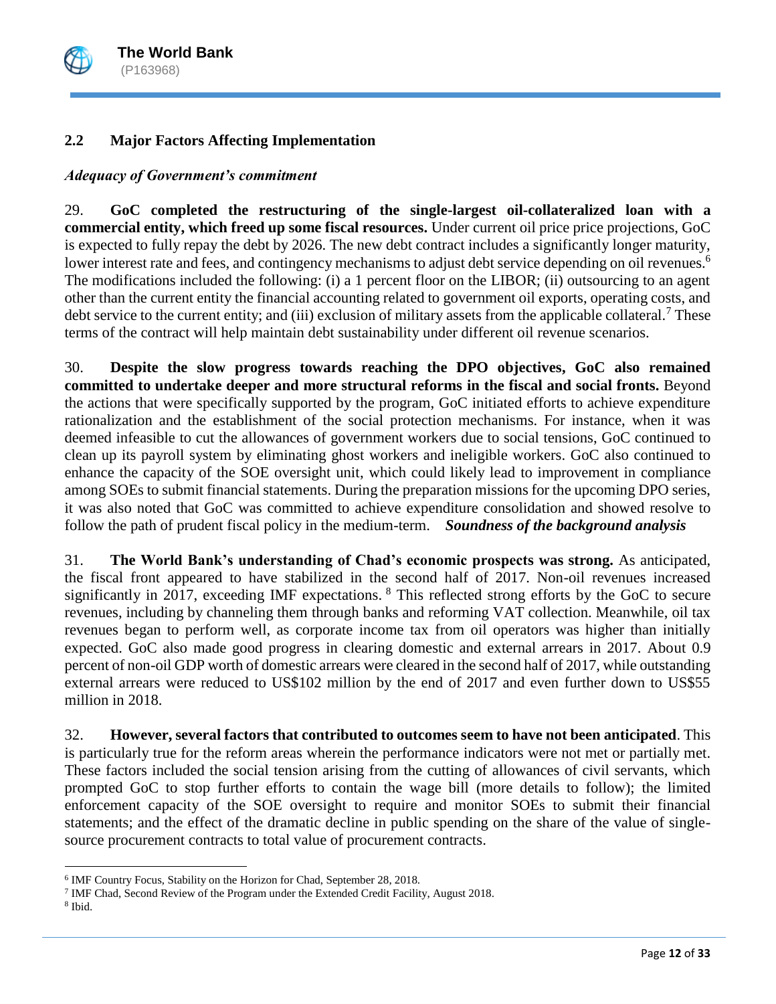

# **2.2 Major Factors Affecting Implementation**

# *Adequacy of Government's commitment*

29. **GoC completed the restructuring of the single-largest oil-collateralized loan with a commercial entity, which freed up some fiscal resources.** Under current oil price price projections, GoC is expected to fully repay the debt by 2026. The new debt contract includes a significantly longer maturity, lower interest rate and fees, and contingency mechanisms to adjust debt service depending on oil revenues.<sup>6</sup> The modifications included the following: (i) a 1 percent floor on the LIBOR; (ii) outsourcing to an agent other than the current entity the financial accounting related to government oil exports, operating costs, and debt service to the current entity; and (iii) exclusion of military assets from the applicable collateral.<sup>7</sup> These terms of the contract will help maintain debt sustainability under different oil revenue scenarios.

30. **Despite the slow progress towards reaching the DPO objectives, GoC also remained committed to undertake deeper and more structural reforms in the fiscal and social fronts.** Beyond the actions that were specifically supported by the program, GoC initiated efforts to achieve expenditure rationalization and the establishment of the social protection mechanisms. For instance, when it was deemed infeasible to cut the allowances of government workers due to social tensions, GoC continued to clean up its payroll system by eliminating ghost workers and ineligible workers. GoC also continued to enhance the capacity of the SOE oversight unit, which could likely lead to improvement in compliance among SOEs to submit financial statements. During the preparation missions for the upcoming DPO series, it was also noted that GoC was committed to achieve expenditure consolidation and showed resolve to follow the path of prudent fiscal policy in the medium-term. *Soundness of the background analysis*

31. **The World Bank's understanding of Chad's economic prospects was strong.** As anticipated, the fiscal front appeared to have stabilized in the second half of 2017. Non-oil revenues increased significantly in 2017, exceeding IMF expectations. <sup>8</sup> This reflected strong efforts by the GoC to secure revenues, including by channeling them through banks and reforming VAT collection. Meanwhile, oil tax revenues began to perform well, as corporate income tax from oil operators was higher than initially expected. GoC also made good progress in clearing domestic and external arrears in 2017. About 0.9 percent of non-oil GDP worth of domestic arrears were cleared in the second half of 2017, while outstanding external arrears were reduced to US\$102 million by the end of 2017 and even further down to US\$55 million in 2018.

32. **However, several factors that contributed to outcomes seem to have not been anticipated**. This is particularly true for the reform areas wherein the performance indicators were not met or partially met. These factors included the social tension arising from the cutting of allowances of civil servants, which prompted GoC to stop further efforts to contain the wage bill (more details to follow); the limited enforcement capacity of the SOE oversight to require and monitor SOEs to submit their financial statements; and the effect of the dramatic decline in public spending on the share of the value of singlesource procurement contracts to total value of procurement contracts.

 $\overline{\phantom{a}}$ 

<sup>6</sup> IMF Country Focus, Stability on the Horizon for Chad, September 28, 2018.

<sup>&</sup>lt;sup>7</sup> IMF Chad, Second Review of the Program under the Extended Credit Facility, August 2018.

<sup>8</sup> Ibid.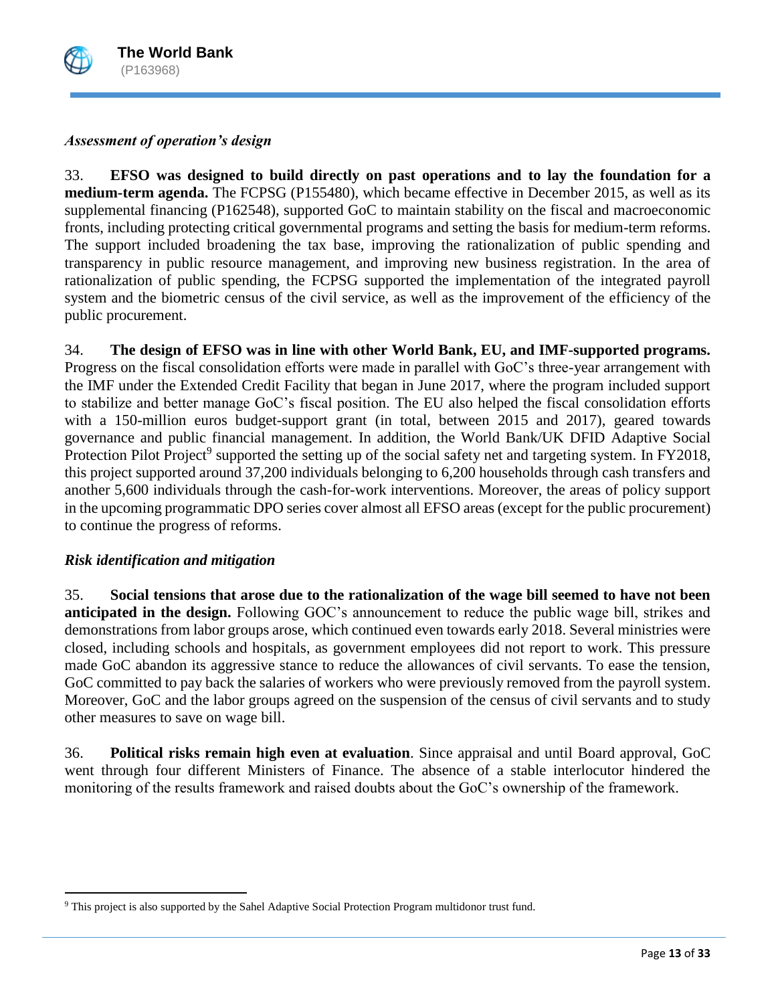

### *Assessment of operation's design*

33. **EFSO was designed to build directly on past operations and to lay the foundation for a medium-term agenda.** The FCPSG (P155480), which became effective in December 2015, as well as its supplemental financing (P162548), supported GoC to maintain stability on the fiscal and macroeconomic fronts, including protecting critical governmental programs and setting the basis for medium-term reforms. The support included broadening the tax base, improving the rationalization of public spending and transparency in public resource management, and improving new business registration. In the area of rationalization of public spending, the FCPSG supported the implementation of the integrated payroll system and the biometric census of the civil service, as well as the improvement of the efficiency of the public procurement.

34. **The design of EFSO was in line with other World Bank, EU, and IMF-supported programs.**  Progress on the fiscal consolidation efforts were made in parallel with GoC's three-year arrangement with the IMF under the Extended Credit Facility that began in June 2017, where the program included support to stabilize and better manage GoC's fiscal position. The EU also helped the fiscal consolidation efforts with a 150-million euros budget-support grant (in total, between 2015 and 2017), geared towards governance and public financial management. In addition, the World Bank/UK DFID Adaptive Social Protection Pilot Project<sup>9</sup> supported the setting up of the social safety net and targeting system. In FY2018, this project supported around 37,200 individuals belonging to 6,200 households through cash transfers and another 5,600 individuals through the cash-for-work interventions. Moreover, the areas of policy support in the upcoming programmatic DPO series cover almost all EFSO areas (except for the public procurement) to continue the progress of reforms.

### *Risk identification and mitigation*

 $\overline{a}$ 

35. **Social tensions that arose due to the rationalization of the wage bill seemed to have not been anticipated in the design.** Following GOC's announcement to reduce the public wage bill, strikes and demonstrations from labor groups arose, which continued even towards early 2018. Several ministries were closed, including schools and hospitals, as government employees did not report to work. This pressure made GoC abandon its aggressive stance to reduce the allowances of civil servants. To ease the tension, GoC committed to pay back the salaries of workers who were previously removed from the payroll system. Moreover, GoC and the labor groups agreed on the suspension of the census of civil servants and to study other measures to save on wage bill.

36. **Political risks remain high even at evaluation**. Since appraisal and until Board approval, GoC went through four different Ministers of Finance. The absence of a stable interlocutor hindered the monitoring of the results framework and raised doubts about the GoC's ownership of the framework.

<sup>9</sup> This project is also supported by the Sahel Adaptive Social Protection Program multidonor trust fund.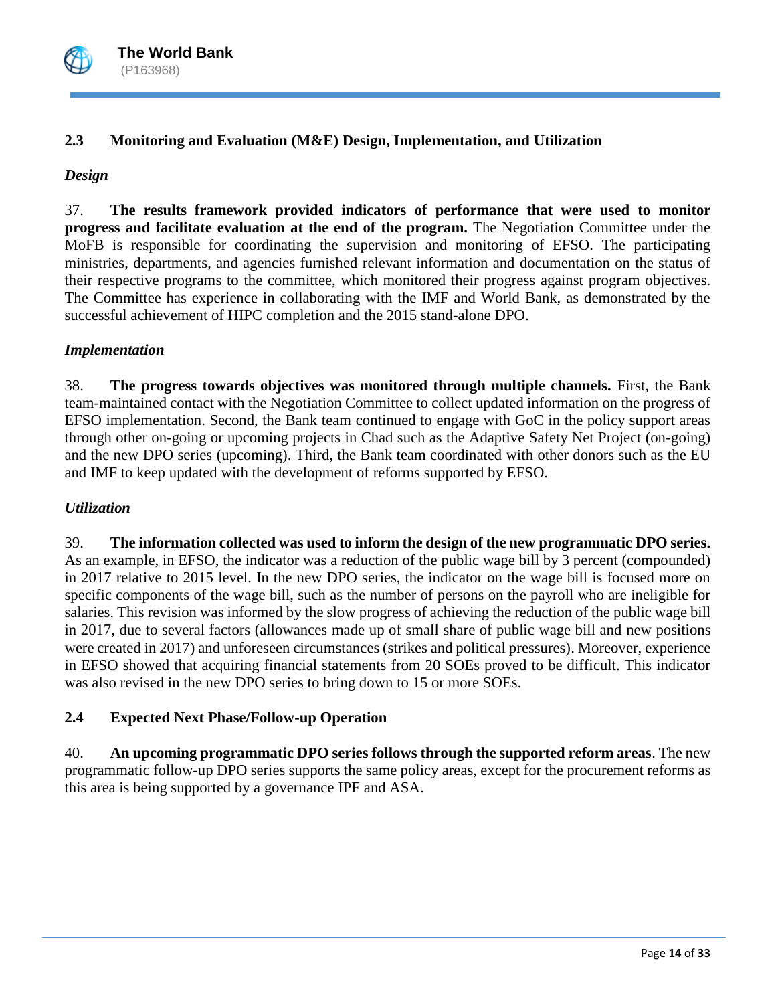

# **2.3 Monitoring and Evaluation (M&E) Design, Implementation, and Utilization**

### *Design*

37. **The results framework provided indicators of performance that were used to monitor progress and facilitate evaluation at the end of the program.** The Negotiation Committee under the MoFB is responsible for coordinating the supervision and monitoring of EFSO. The participating ministries, departments, and agencies furnished relevant information and documentation on the status of their respective programs to the committee, which monitored their progress against program objectives. The Committee has experience in collaborating with the IMF and World Bank, as demonstrated by the successful achievement of HIPC completion and the 2015 stand-alone DPO.

### *Implementation*

38. **The progress towards objectives was monitored through multiple channels.** First, the Bank team-maintained contact with the Negotiation Committee to collect updated information on the progress of EFSO implementation. Second, the Bank team continued to engage with GoC in the policy support areas through other on-going or upcoming projects in Chad such as the Adaptive Safety Net Project (on-going) and the new DPO series (upcoming). Third, the Bank team coordinated with other donors such as the EU and IMF to keep updated with the development of reforms supported by EFSO.

## *Utilization*

39. **The information collected was used to inform the design of the new programmatic DPO series.** As an example, in EFSO, the indicator was a reduction of the public wage bill by 3 percent (compounded) in 2017 relative to 2015 level. In the new DPO series, the indicator on the wage bill is focused more on specific components of the wage bill, such as the number of persons on the payroll who are ineligible for salaries. This revision was informed by the slow progress of achieving the reduction of the public wage bill in 2017, due to several factors (allowances made up of small share of public wage bill and new positions were created in 2017) and unforeseen circumstances (strikes and political pressures). Moreover, experience in EFSO showed that acquiring financial statements from 20 SOEs proved to be difficult. This indicator was also revised in the new DPO series to bring down to 15 or more SOEs.

# **2.4 Expected Next Phase/Follow-up Operation**

40. **An upcoming programmatic DPO series follows through the supported reform areas**. The new programmatic follow-up DPO series supports the same policy areas, except for the procurement reforms as this area is being supported by a governance IPF and ASA.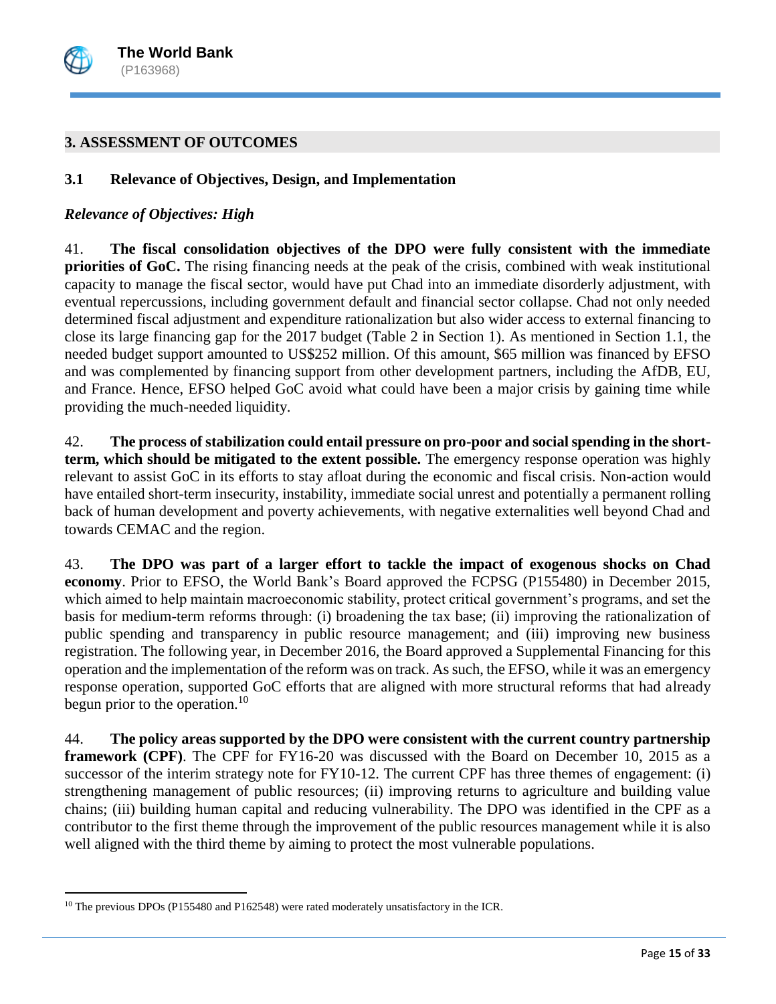

### **3. ASSESSMENT OF OUTCOMES**

#### **3.1 Relevance of Objectives, Design, and Implementation**

#### *Relevance of Objectives: High*

41. **The fiscal consolidation objectives of the DPO were fully consistent with the immediate priorities of GoC.** The rising financing needs at the peak of the crisis, combined with weak institutional capacity to manage the fiscal sector, would have put Chad into an immediate disorderly adjustment, with eventual repercussions, including government default and financial sector collapse. Chad not only needed determined fiscal adjustment and expenditure rationalization but also wider access to external financing to close its large financing gap for the 2017 budget (Table 2 in Section 1). As mentioned in Section 1.1, the needed budget support amounted to US\$252 million. Of this amount, \$65 million was financed by EFSO and was complemented by financing support from other development partners, including the AfDB, EU, and France. Hence, EFSO helped GoC avoid what could have been a major crisis by gaining time while providing the much-needed liquidity.

42. **The process of stabilization could entail pressure on pro-poor and social spending in the shortterm, which should be mitigated to the extent possible.** The emergency response operation was highly relevant to assist GoC in its efforts to stay afloat during the economic and fiscal crisis. Non-action would have entailed short-term insecurity, instability, immediate social unrest and potentially a permanent rolling back of human development and poverty achievements, with negative externalities well beyond Chad and towards CEMAC and the region.

43. **The DPO was part of a larger effort to tackle the impact of exogenous shocks on Chad economy**. Prior to EFSO, the World Bank's Board approved the FCPSG (P155480) in December 2015, which aimed to help maintain macroeconomic stability, protect critical government's programs, and set the basis for medium-term reforms through: (i) broadening the tax base; (ii) improving the rationalization of public spending and transparency in public resource management; and (iii) improving new business registration. The following year, in December 2016, the Board approved a Supplemental Financing for this operation and the implementation of the reform was on track. As such, the EFSO, while it was an emergency response operation, supported GoC efforts that are aligned with more structural reforms that had already begun prior to the operation.<sup>10</sup>

44. **The policy areas supported by the DPO were consistent with the current country partnership framework (CPF)**. The CPF for FY16-20 was discussed with the Board on December 10, 2015 as a successor of the interim strategy note for FY10-12. The current CPF has three themes of engagement: (i) strengthening management of public resources; (ii) improving returns to agriculture and building value chains; (iii) building human capital and reducing vulnerability. The DPO was identified in the CPF as a contributor to the first theme through the improvement of the public resources management while it is also well aligned with the third theme by aiming to protect the most vulnerable populations.

 $\overline{a}$ 

<sup>&</sup>lt;sup>10</sup> The previous DPOs (P155480 and P162548) were rated moderately unsatisfactory in the ICR.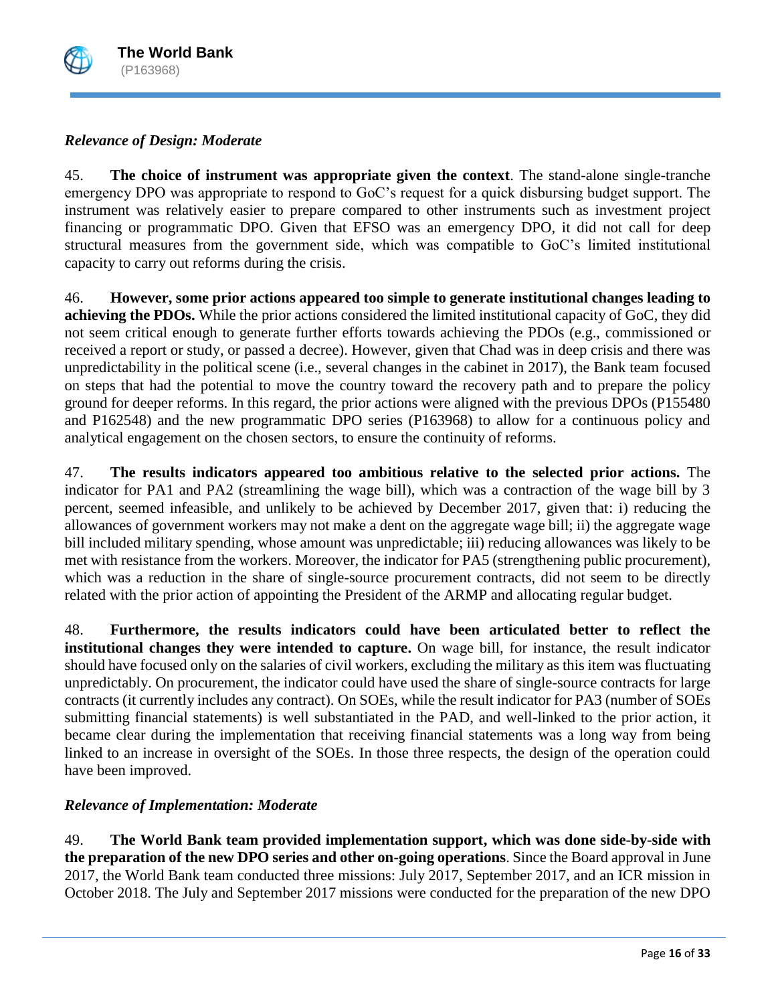

# *Relevance of Design: Moderate*

45. **The choice of instrument was appropriate given the context**. The stand-alone single-tranche emergency DPO was appropriate to respond to GoC's request for a quick disbursing budget support. The instrument was relatively easier to prepare compared to other instruments such as investment project financing or programmatic DPO. Given that EFSO was an emergency DPO, it did not call for deep structural measures from the government side, which was compatible to GoC's limited institutional capacity to carry out reforms during the crisis.

46. **However, some prior actions appeared too simple to generate institutional changes leading to achieving the PDOs.** While the prior actions considered the limited institutional capacity of GoC, they did not seem critical enough to generate further efforts towards achieving the PDOs (e.g., commissioned or received a report or study, or passed a decree). However, given that Chad was in deep crisis and there was unpredictability in the political scene (i.e., several changes in the cabinet in 2017), the Bank team focused on steps that had the potential to move the country toward the recovery path and to prepare the policy ground for deeper reforms. In this regard, the prior actions were aligned with the previous DPOs (P155480 and P162548) and the new programmatic DPO series (P163968) to allow for a continuous policy and analytical engagement on the chosen sectors, to ensure the continuity of reforms.

47. **The results indicators appeared too ambitious relative to the selected prior actions.** The indicator for PA1 and PA2 (streamlining the wage bill), which was a contraction of the wage bill by 3 percent, seemed infeasible, and unlikely to be achieved by December 2017, given that: i) reducing the allowances of government workers may not make a dent on the aggregate wage bill; ii) the aggregate wage bill included military spending, whose amount was unpredictable; iii) reducing allowances was likely to be met with resistance from the workers. Moreover, the indicator for PA5 (strengthening public procurement), which was a reduction in the share of single-source procurement contracts, did not seem to be directly related with the prior action of appointing the President of the ARMP and allocating regular budget.

48. **Furthermore, the results indicators could have been articulated better to reflect the institutional changes they were intended to capture.** On wage bill, for instance, the result indicator should have focused only on the salaries of civil workers, excluding the military as this item was fluctuating unpredictably. On procurement, the indicator could have used the share of single-source contracts for large contracts (it currently includes any contract). On SOEs, while the result indicator for PA3 (number of SOEs submitting financial statements) is well substantiated in the PAD, and well-linked to the prior action, it became clear during the implementation that receiving financial statements was a long way from being linked to an increase in oversight of the SOEs. In those three respects, the design of the operation could have been improved.

# *Relevance of Implementation: Moderate*

49. **The World Bank team provided implementation support, which was done side-by-side with the preparation of the new DPO series and other on-going operations**. Since the Board approval in June 2017, the World Bank team conducted three missions: July 2017, September 2017, and an ICR mission in October 2018. The July and September 2017 missions were conducted for the preparation of the new DPO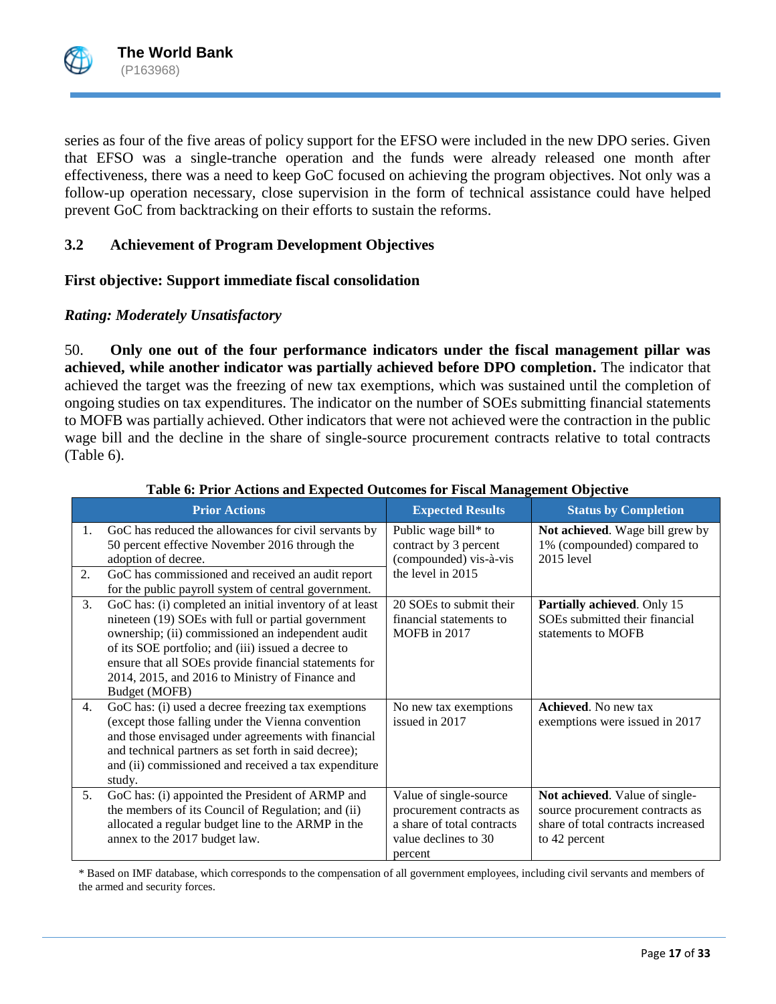

series as four of the five areas of policy support for the EFSO were included in the new DPO series. Given that EFSO was a single-tranche operation and the funds were already released one month after effectiveness, there was a need to keep GoC focused on achieving the program objectives. Not only was a follow-up operation necessary, close supervision in the form of technical assistance could have helped prevent GoC from backtracking on their efforts to sustain the reforms.

# **3.2 Achievement of Program Development Objectives**

### **First objective: Support immediate fiscal consolidation**

### *Rating: Moderately Unsatisfactory*

50. **Only one out of the four performance indicators under the fiscal management pillar was achieved, while another indicator was partially achieved before DPO completion.** The indicator that achieved the target was the freezing of new tax exemptions, which was sustained until the completion of ongoing studies on tax expenditures. The indicator on the number of SOEs submitting financial statements to MOFB was partially achieved. Other indicators that were not achieved were the contraction in the public wage bill and the decline in the share of single-source procurement contracts relative to total contracts (Table 6).

|          | <b>Prior Actions</b>                                                                                                                                                                                                                                                                                                                                  | <b>Expected Results</b>                                                                                             | <b>Status by Completion</b>                                                                                              |
|----------|-------------------------------------------------------------------------------------------------------------------------------------------------------------------------------------------------------------------------------------------------------------------------------------------------------------------------------------------------------|---------------------------------------------------------------------------------------------------------------------|--------------------------------------------------------------------------------------------------------------------------|
| 1.<br>2. | GoC has reduced the allowances for civil servants by<br>50 percent effective November 2016 through the<br>adoption of decree.<br>GoC has commissioned and received an audit report<br>for the public payroll system of central government.                                                                                                            | Public wage bill* to<br>contract by 3 percent<br>(compounded) vis-à-vis<br>the level in 2015                        | Not achieved. Wage bill grew by<br>1% (compounded) compared to<br>2015 level                                             |
| 3.       | GoC has: (i) completed an initial inventory of at least<br>nineteen (19) SOEs with full or partial government<br>ownership; (ii) commissioned an independent audit<br>of its SOE portfolio; and (iii) issued a decree to<br>ensure that all SOEs provide financial statements for<br>2014, 2015, and 2016 to Ministry of Finance and<br>Budget (MOFB) | 20 SOEs to submit their<br>financial statements to<br>MOFB in 2017                                                  | Partially achieved. Only 15<br>SOEs submitted their financial<br>statements to MOFB                                      |
| 4.       | GoC has: (i) used a decree freezing tax exemptions<br>(except those falling under the Vienna convention<br>and those envisaged under agreements with financial<br>and technical partners as set forth in said decree);<br>and (ii) commissioned and received a tax expenditure<br>study.                                                              | No new tax exemptions<br>issued in 2017                                                                             | <b>Achieved.</b> No new tax<br>exemptions were issued in 2017                                                            |
| 5.       | GoC has: (i) appointed the President of ARMP and<br>the members of its Council of Regulation; and (ii)<br>allocated a regular budget line to the ARMP in the<br>annex to the 2017 budget law.                                                                                                                                                         | Value of single-source<br>procurement contracts as<br>a share of total contracts<br>value declines to 30<br>percent | Not achieved. Value of single-<br>source procurement contracts as<br>share of total contracts increased<br>to 42 percent |

#### **Table 6: Prior Actions and Expected Outcomes for Fiscal Management Objective**

\* Based on IMF database, which corresponds to the compensation of all government employees, including civil servants and members of the armed and security forces.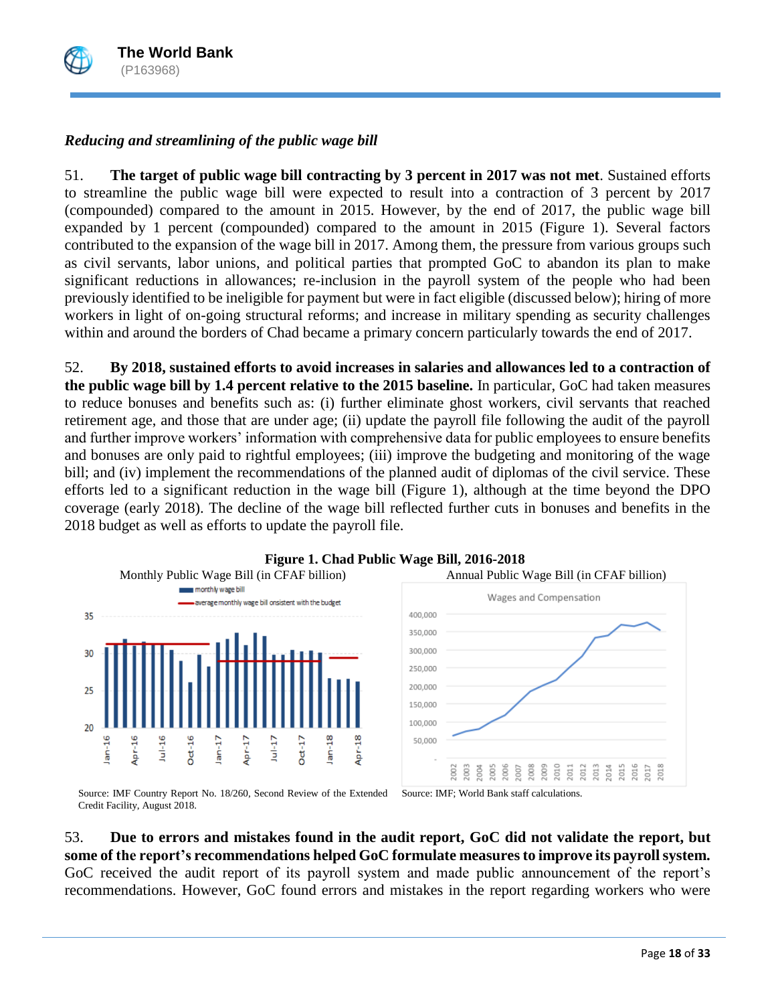

# *Reducing and streamlining of the public wage bill*

51. **The target of public wage bill contracting by 3 percent in 2017 was not met**. Sustained efforts to streamline the public wage bill were expected to result into a contraction of 3 percent by 2017 (compounded) compared to the amount in 2015. However, by the end of 2017, the public wage bill expanded by 1 percent (compounded) compared to the amount in 2015 (Figure 1). Several factors contributed to the expansion of the wage bill in 2017. Among them, the pressure from various groups such as civil servants, labor unions, and political parties that prompted GoC to abandon its plan to make significant reductions in allowances; re-inclusion in the payroll system of the people who had been previously identified to be ineligible for payment but were in fact eligible (discussed below); hiring of more workers in light of on-going structural reforms; and increase in military spending as security challenges within and around the borders of Chad became a primary concern particularly towards the end of 2017.

52. **By 2018, sustained efforts to avoid increases in salaries and allowances led to a contraction of the public wage bill by 1.4 percent relative to the 2015 baseline.** In particular, GoC had taken measures to reduce bonuses and benefits such as: (i) further eliminate ghost workers, civil servants that reached retirement age, and those that are under age; (ii) update the payroll file following the audit of the payroll and further improve workers' information with comprehensive data for public employees to ensure benefits and bonuses are only paid to rightful employees; (iii) improve the budgeting and monitoring of the wage bill; and (iv) implement the recommendations of the planned audit of diplomas of the civil service. These efforts led to a significant reduction in the wage bill (Figure 1), although at the time beyond the DPO coverage (early 2018). The decline of the wage bill reflected further cuts in bonuses and benefits in the 2018 budget as well as efforts to update the payroll file.



# **Figure 1. Chad Public Wage Bill, 2016-2018**

Source: IMF Country Report No. 18/260, Second Review of the Extended Credit Facility, August 2018. Source: IMF; World Bank staff calculations.

53. **Due to errors and mistakes found in the audit report, GoC did not validate the report, but some of the report's recommendations helped GoC formulate measures to improve its payroll system.**  GoC received the audit report of its payroll system and made public announcement of the report's recommendations. However, GoC found errors and mistakes in the report regarding workers who were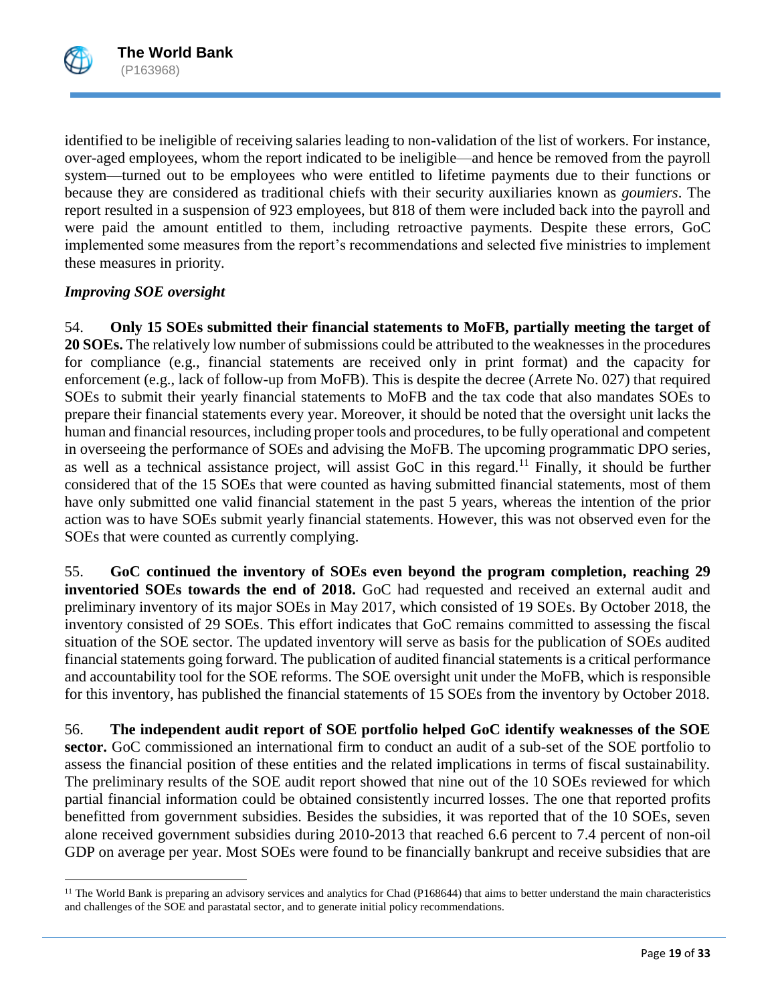

 $\overline{\phantom{a}}$ 

identified to be ineligible of receiving salaries leading to non-validation of the list of workers. For instance, over-aged employees, whom the report indicated to be ineligible—and hence be removed from the payroll system—turned out to be employees who were entitled to lifetime payments due to their functions or because they are considered as traditional chiefs with their security auxiliaries known as *goumiers*. The report resulted in a suspension of 923 employees, but 818 of them were included back into the payroll and were paid the amount entitled to them, including retroactive payments. Despite these errors, GoC implemented some measures from the report's recommendations and selected five ministries to implement these measures in priority.

# *Improving SOE oversight*

54. **Only 15 SOEs submitted their financial statements to MoFB, partially meeting the target of 20 SOEs.** The relatively low number of submissions could be attributed to the weaknesses in the procedures for compliance (e.g., financial statements are received only in print format) and the capacity for enforcement (e.g., lack of follow-up from MoFB). This is despite the decree (Arrete No. 027) that required SOEs to submit their yearly financial statements to MoFB and the tax code that also mandates SOEs to prepare their financial statements every year. Moreover, it should be noted that the oversight unit lacks the human and financial resources, including proper tools and procedures, to be fully operational and competent in overseeing the performance of SOEs and advising the MoFB. The upcoming programmatic DPO series, as well as a technical assistance project, will assist GoC in this regard.<sup>11</sup> Finally, it should be further considered that of the 15 SOEs that were counted as having submitted financial statements, most of them have only submitted one valid financial statement in the past 5 years, whereas the intention of the prior action was to have SOEs submit yearly financial statements. However, this was not observed even for the SOEs that were counted as currently complying.

55. **GoC continued the inventory of SOEs even beyond the program completion, reaching 29 inventoried SOEs towards the end of 2018.** GoC had requested and received an external audit and preliminary inventory of its major SOEs in May 2017, which consisted of 19 SOEs. By October 2018, the inventory consisted of 29 SOEs. This effort indicates that GoC remains committed to assessing the fiscal situation of the SOE sector. The updated inventory will serve as basis for the publication of SOEs audited financial statements going forward. The publication of audited financial statements is a critical performance and accountability tool for the SOE reforms. The SOE oversight unit under the MoFB, which is responsible for this inventory, has published the financial statements of 15 SOEs from the inventory by October 2018.

56. **The independent audit report of SOE portfolio helped GoC identify weaknesses of the SOE sector.** GoC commissioned an international firm to conduct an audit of a sub-set of the SOE portfolio to assess the financial position of these entities and the related implications in terms of fiscal sustainability. The preliminary results of the SOE audit report showed that nine out of the 10 SOEs reviewed for which partial financial information could be obtained consistently incurred losses. The one that reported profits benefitted from government subsidies. Besides the subsidies, it was reported that of the 10 SOEs, seven alone received government subsidies during 2010-2013 that reached 6.6 percent to 7.4 percent of non-oil GDP on average per year. Most SOEs were found to be financially bankrupt and receive subsidies that are

<sup>&</sup>lt;sup>11</sup> The World Bank is preparing an advisory services and analytics for Chad (P168644) that aims to better understand the main characteristics and challenges of the SOE and parastatal sector, and to generate initial policy recommendations.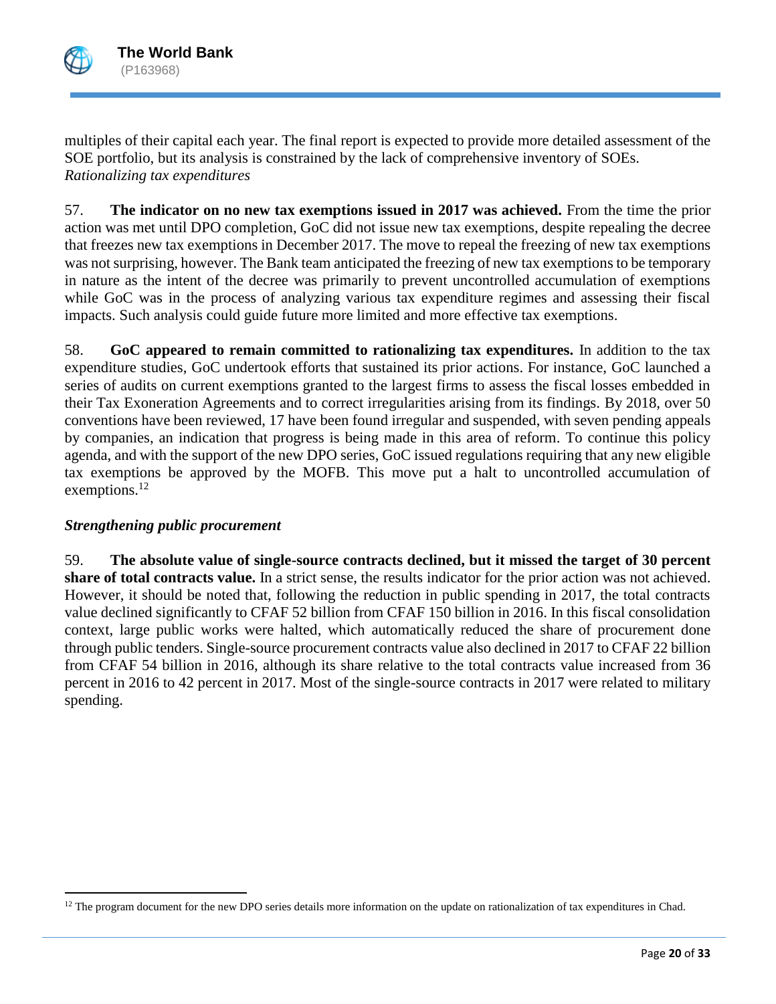

 $\overline{a}$ 

multiples of their capital each year. The final report is expected to provide more detailed assessment of the SOE portfolio, but its analysis is constrained by the lack of comprehensive inventory of SOEs. *Rationalizing tax expenditures*

57. **The indicator on no new tax exemptions issued in 2017 was achieved.** From the time the prior action was met until DPO completion, GoC did not issue new tax exemptions, despite repealing the decree that freezes new tax exemptions in December 2017. The move to repeal the freezing of new tax exemptions was not surprising, however. The Bank team anticipated the freezing of new tax exemptions to be temporary in nature as the intent of the decree was primarily to prevent uncontrolled accumulation of exemptions while GoC was in the process of analyzing various tax expenditure regimes and assessing their fiscal impacts. Such analysis could guide future more limited and more effective tax exemptions.

58. **GoC appeared to remain committed to rationalizing tax expenditures.** In addition to the tax expenditure studies, GoC undertook efforts that sustained its prior actions. For instance, GoC launched a series of audits on current exemptions granted to the largest firms to assess the fiscal losses embedded in their Tax Exoneration Agreements and to correct irregularities arising from its findings. By 2018, over 50 conventions have been reviewed, 17 have been found irregular and suspended, with seven pending appeals by companies, an indication that progress is being made in this area of reform. To continue this policy agenda, and with the support of the new DPO series, GoC issued regulations requiring that any new eligible tax exemptions be approved by the MOFB. This move put a halt to uncontrolled accumulation of exemptions.<sup>12</sup>

# *Strengthening public procurement*

59. **The absolute value of single-source contracts declined, but it missed the target of 30 percent share of total contracts value.** In a strict sense, the results indicator for the prior action was not achieved. However, it should be noted that, following the reduction in public spending in 2017, the total contracts value declined significantly to CFAF 52 billion from CFAF 150 billion in 2016. In this fiscal consolidation context, large public works were halted, which automatically reduced the share of procurement done through public tenders. Single-source procurement contracts value also declined in 2017 to CFAF 22 billion from CFAF 54 billion in 2016, although its share relative to the total contracts value increased from 36 percent in 2016 to 42 percent in 2017. Most of the single-source contracts in 2017 were related to military spending.

 $12$  The program document for the new DPO series details more information on the update on rationalization of tax expenditures in Chad.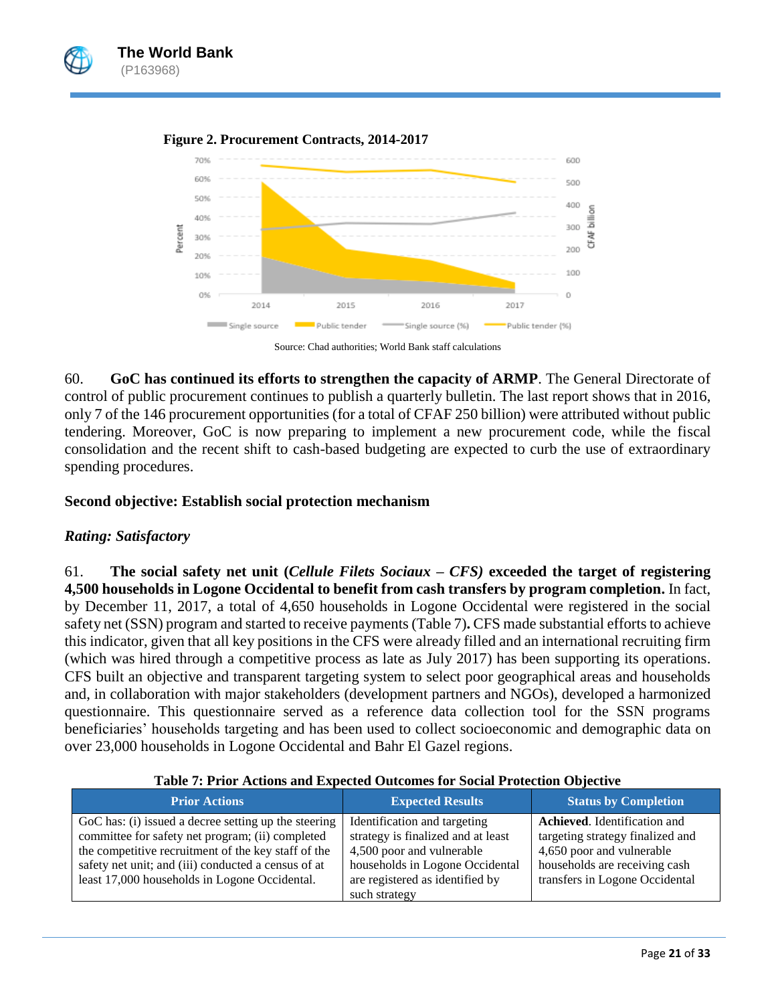





Source: Chad authorities; World Bank staff calculations

60. **GoC has continued its efforts to strengthen the capacity of ARMP**. The General Directorate of control of public procurement continues to publish a quarterly bulletin. The last report shows that in 2016, only 7 of the 146 procurement opportunities (for a total of CFAF 250 billion) were attributed without public tendering. Moreover, GoC is now preparing to implement a new procurement code, while the fiscal consolidation and the recent shift to cash-based budgeting are expected to curb the use of extraordinary spending procedures.

#### **Second objective: Establish social protection mechanism**

### *Rating: Satisfactory*

61. **The social safety net unit (***Cellule Filets Sociaux – CFS)* **exceeded the target of registering 4,500 households in Logone Occidental to benefit from cash transfers by program completion.** In fact, by December 11, 2017, a total of 4,650 households in Logone Occidental were registered in the social safety net (SSN) program and started to receive payments(Table 7)**.** CFS made substantial efforts to achieve this indicator, given that all key positions in the CFS were already filled and an international recruiting firm (which was hired through a competitive process as late as July 2017) has been supporting its operations. CFS built an objective and transparent targeting system to select poor geographical areas and households and, in collaboration with major stakeholders (development partners and NGOs), developed a harmonized questionnaire. This questionnaire served as a reference data collection tool for the SSN programs beneficiaries' households targeting and has been used to collect socioeconomic and demographic data on over 23,000 households in Logone Occidental and Bahr El Gazel regions.

| <b>Status by Completion</b><br><b>Expected Results</b>                                                                                                                                                                                                                                                                                           |
|--------------------------------------------------------------------------------------------------------------------------------------------------------------------------------------------------------------------------------------------------------------------------------------------------------------------------------------------------|
| <b>Achieved.</b> Identification and<br>Identification and targeting<br>strategy is finalized and at least<br>targeting strategy finalized and<br>4,500 poor and vulnerable<br>4,650 poor and vulnerable<br>households in Logone Occidental<br>households are receiving cash<br>transfers in Logone Occidental<br>are registered as identified by |
| such strategy                                                                                                                                                                                                                                                                                                                                    |

**Table 7: Prior Actions and Expected Outcomes for Social Protection Objective**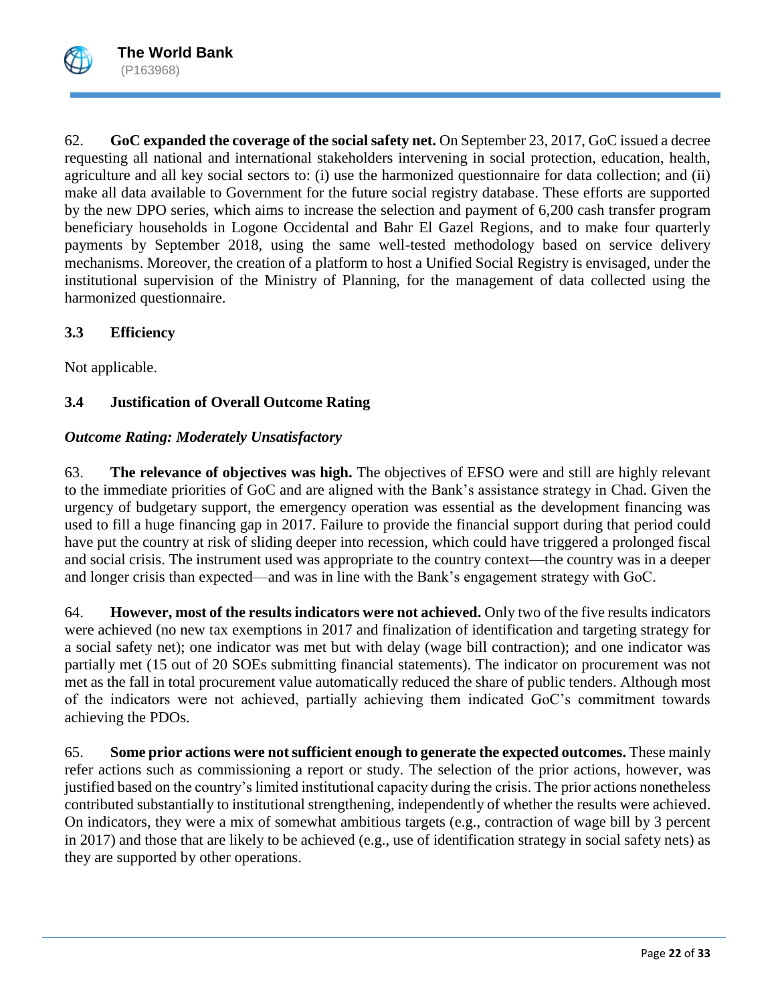

62. **GoC expanded the coverage of the social safety net.** On September 23, 2017, GoC issued a decree requesting all national and international stakeholders intervening in social protection, education, health, agriculture and all key social sectors to: (i) use the harmonized questionnaire for data collection; and (ii) make all data available to Government for the future social registry database. These efforts are supported by the new DPO series, which aims to increase the selection and payment of 6,200 cash transfer program beneficiary households in Logone Occidental and Bahr El Gazel Regions, and to make four quarterly payments by September 2018, using the same well-tested methodology based on service delivery mechanisms. Moreover, the creation of a platform to host a Unified Social Registry is envisaged, under the institutional supervision of the Ministry of Planning, for the management of data collected using the harmonized questionnaire.

# **3.3 Efficiency**

Not applicable.

# **3.4 Justification of Overall Outcome Rating**

# *Outcome Rating: Moderately Unsatisfactory*

63. **The relevance of objectives was high.** The objectives of EFSO were and still are highly relevant to the immediate priorities of GoC and are aligned with the Bank's assistance strategy in Chad. Given the urgency of budgetary support, the emergency operation was essential as the development financing was used to fill a huge financing gap in 2017. Failure to provide the financial support during that period could have put the country at risk of sliding deeper into recession, which could have triggered a prolonged fiscal and social crisis. The instrument used was appropriate to the country context—the country was in a deeper and longer crisis than expected—and was in line with the Bank's engagement strategy with GoC.

64. **However, most of the results indicators were not achieved.** Only two of the five results indicators were achieved (no new tax exemptions in 2017 and finalization of identification and targeting strategy for a social safety net); one indicator was met but with delay (wage bill contraction); and one indicator was partially met (15 out of 20 SOEs submitting financial statements). The indicator on procurement was not met as the fall in total procurement value automatically reduced the share of public tenders. Although most of the indicators were not achieved, partially achieving them indicated GoC's commitment towards achieving the PDOs.

65. **Some prior actions were not sufficient enough to generate the expected outcomes.** These mainly refer actions such as commissioning a report or study. The selection of the prior actions, however, was justified based on the country's limited institutional capacity during the crisis. The prior actions nonetheless contributed substantially to institutional strengthening, independently of whether the results were achieved. On indicators, they were a mix of somewhat ambitious targets (e.g., contraction of wage bill by 3 percent in 2017) and those that are likely to be achieved (e.g., use of identification strategy in social safety nets) as they are supported by other operations.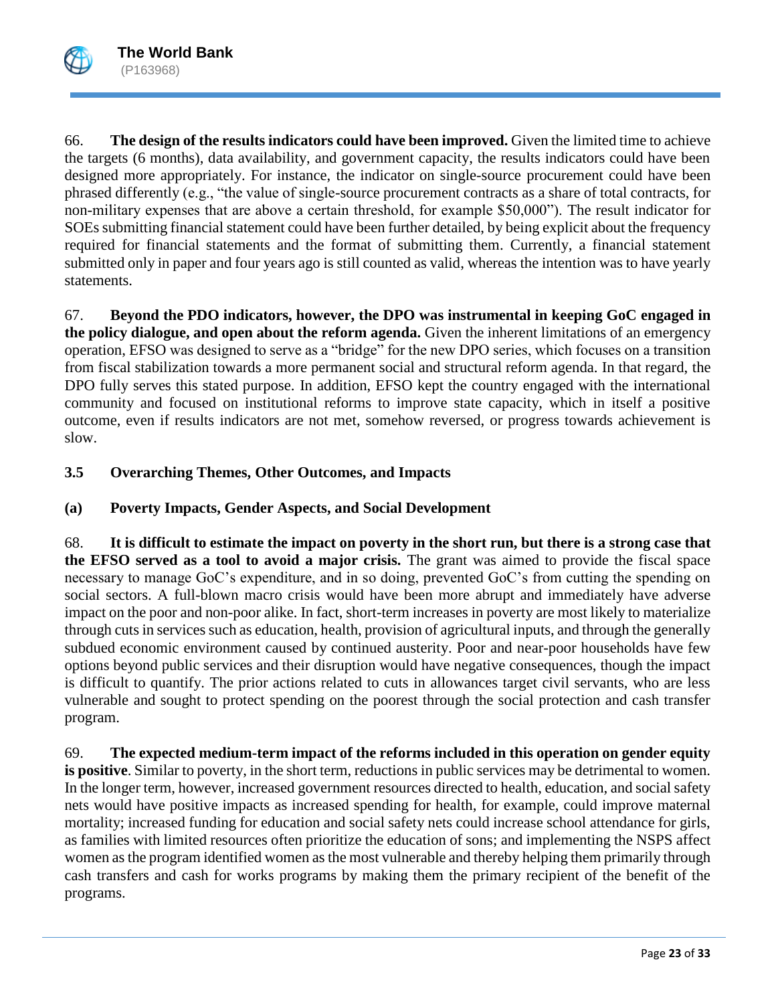

66. **The design of the results indicators could have been improved.** Given the limited time to achieve the targets (6 months), data availability, and government capacity, the results indicators could have been designed more appropriately. For instance, the indicator on single-source procurement could have been phrased differently (e.g., "the value of single-source procurement contracts as a share of total contracts, for non-military expenses that are above a certain threshold, for example \$50,000"). The result indicator for SOEs submitting financial statement could have been further detailed, by being explicit about the frequency required for financial statements and the format of submitting them. Currently, a financial statement submitted only in paper and four years ago is still counted as valid, whereas the intention was to have yearly statements.

67. **Beyond the PDO indicators, however, the DPO was instrumental in keeping GoC engaged in the policy dialogue, and open about the reform agenda.** Given the inherent limitations of an emergency operation, EFSO was designed to serve as a "bridge" for the new DPO series, which focuses on a transition from fiscal stabilization towards a more permanent social and structural reform agenda. In that regard, the DPO fully serves this stated purpose. In addition, EFSO kept the country engaged with the international community and focused on institutional reforms to improve state capacity, which in itself a positive outcome, even if results indicators are not met, somehow reversed, or progress towards achievement is slow.

# **3.5 Overarching Themes, Other Outcomes, and Impacts**

# **(a) Poverty Impacts, Gender Aspects, and Social Development**

68. **It is difficult to estimate the impact on poverty in the short run, but there is a strong case that the EFSO served as a tool to avoid a major crisis.** The grant was aimed to provide the fiscal space necessary to manage GoC's expenditure, and in so doing, prevented GoC's from cutting the spending on social sectors. A full-blown macro crisis would have been more abrupt and immediately have adverse impact on the poor and non-poor alike. In fact, short-term increases in poverty are most likely to materialize through cuts in services such as education, health, provision of agricultural inputs, and through the generally subdued economic environment caused by continued austerity. Poor and near-poor households have few options beyond public services and their disruption would have negative consequences, though the impact is difficult to quantify. The prior actions related to cuts in allowances target civil servants, who are less vulnerable and sought to protect spending on the poorest through the social protection and cash transfer program.

69. **The expected medium-term impact of the reforms included in this operation on gender equity is positive**. Similar to poverty, in the short term, reductions in public services may be detrimental to women. In the longer term, however, increased government resources directed to health, education, and social safety nets would have positive impacts as increased spending for health, for example, could improve maternal mortality; increased funding for education and social safety nets could increase school attendance for girls, as families with limited resources often prioritize the education of sons; and implementing the NSPS affect women asthe program identified women as the most vulnerable and thereby helping them primarily through cash transfers and cash for works programs by making them the primary recipient of the benefit of the programs.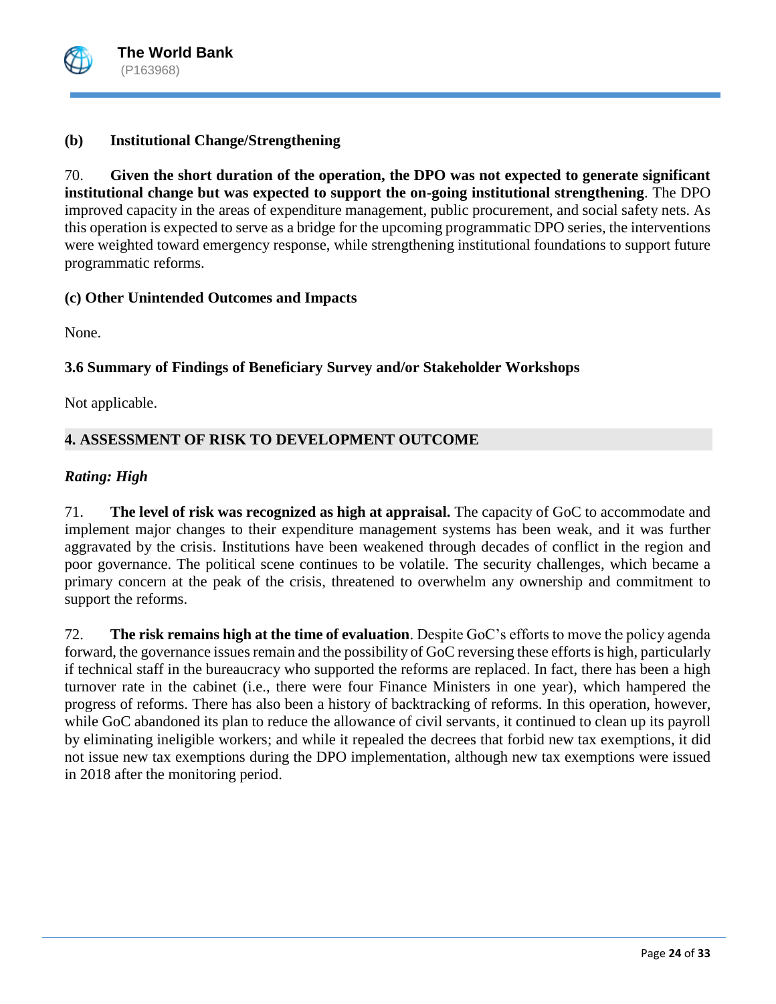

# **(b) Institutional Change/Strengthening**

70. **Given the short duration of the operation, the DPO was not expected to generate significant institutional change but was expected to support the on-going institutional strengthening**. The DPO improved capacity in the areas of expenditure management, public procurement, and social safety nets. As this operation is expected to serve as a bridge for the upcoming programmatic DPO series, the interventions were weighted toward emergency response, while strengthening institutional foundations to support future programmatic reforms.

# **(c) Other Unintended Outcomes and Impacts**

None.

# **3.6 Summary of Findings of Beneficiary Survey and/or Stakeholder Workshops**

Not applicable.

# **4. ASSESSMENT OF RISK TO DEVELOPMENT OUTCOME**

# *Rating: High*

71. **The level of risk was recognized as high at appraisal.** The capacity of GoC to accommodate and implement major changes to their expenditure management systems has been weak, and it was further aggravated by the crisis. Institutions have been weakened through decades of conflict in the region and poor governance. The political scene continues to be volatile. The security challenges, which became a primary concern at the peak of the crisis, threatened to overwhelm any ownership and commitment to support the reforms.

72. **The risk remains high at the time of evaluation**. Despite GoC's efforts to move the policy agenda forward, the governance issues remain and the possibility of GoC reversing these efforts is high, particularly if technical staff in the bureaucracy who supported the reforms are replaced. In fact, there has been a high turnover rate in the cabinet (i.e., there were four Finance Ministers in one year), which hampered the progress of reforms. There has also been a history of backtracking of reforms. In this operation, however, while GoC abandoned its plan to reduce the allowance of civil servants, it continued to clean up its payroll by eliminating ineligible workers; and while it repealed the decrees that forbid new tax exemptions, it did not issue new tax exemptions during the DPO implementation, although new tax exemptions were issued in 2018 after the monitoring period.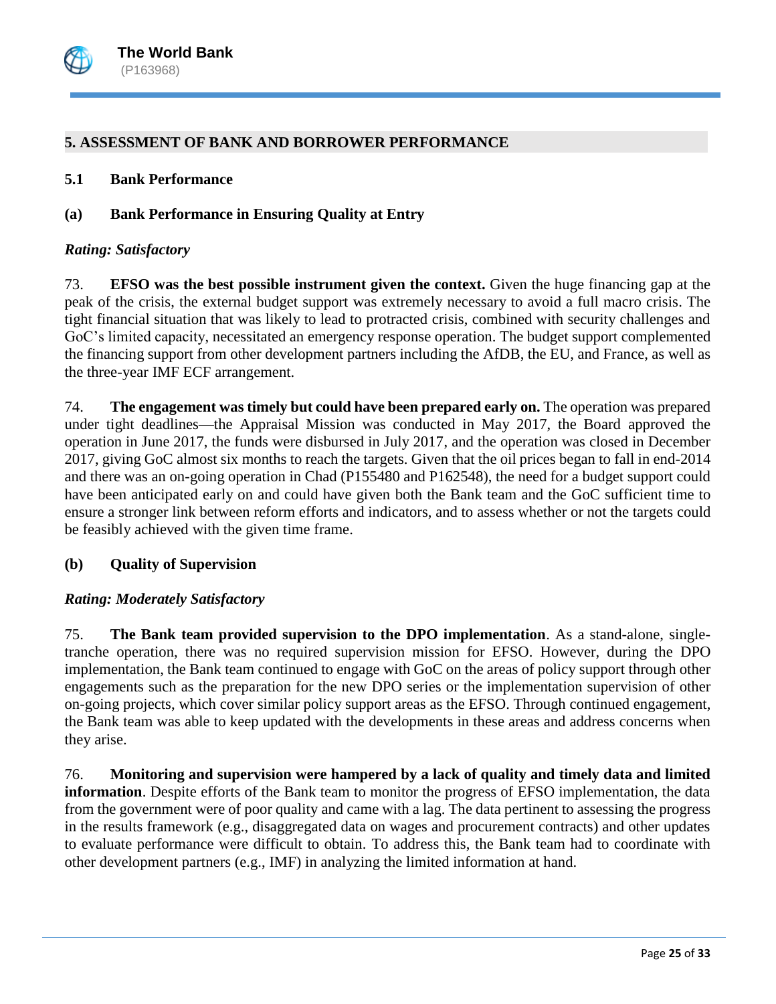

### **5. ASSESSMENT OF BANK AND BORROWER PERFORMANCE**

#### **5.1 Bank Performance**

### **(a) Bank Performance in Ensuring Quality at Entry**

#### *Rating: Satisfactory*

73. **EFSO was the best possible instrument given the context.** Given the huge financing gap at the peak of the crisis, the external budget support was extremely necessary to avoid a full macro crisis. The tight financial situation that was likely to lead to protracted crisis, combined with security challenges and GoC's limited capacity, necessitated an emergency response operation. The budget support complemented the financing support from other development partners including the AfDB, the EU, and France, as well as the three-year IMF ECF arrangement.

74. **The engagement was timely but could have been prepared early on.** The operation was prepared under tight deadlines—the Appraisal Mission was conducted in May 2017, the Board approved the operation in June 2017, the funds were disbursed in July 2017, and the operation was closed in December 2017, giving GoC almost six months to reach the targets. Given that the oil prices began to fall in end-2014 and there was an on-going operation in Chad (P155480 and P162548), the need for a budget support could have been anticipated early on and could have given both the Bank team and the GoC sufficient time to ensure a stronger link between reform efforts and indicators, and to assess whether or not the targets could be feasibly achieved with the given time frame.

### **(b) Quality of Supervision**

# *Rating: Moderately Satisfactory*

75. **The Bank team provided supervision to the DPO implementation**. As a stand-alone, singletranche operation, there was no required supervision mission for EFSO. However, during the DPO implementation, the Bank team continued to engage with GoC on the areas of policy support through other engagements such as the preparation for the new DPO series or the implementation supervision of other on-going projects, which cover similar policy support areas as the EFSO. Through continued engagement, the Bank team was able to keep updated with the developments in these areas and address concerns when they arise.

76. **Monitoring and supervision were hampered by a lack of quality and timely data and limited information**. Despite efforts of the Bank team to monitor the progress of EFSO implementation, the data from the government were of poor quality and came with a lag. The data pertinent to assessing the progress in the results framework (e.g., disaggregated data on wages and procurement contracts) and other updates to evaluate performance were difficult to obtain. To address this, the Bank team had to coordinate with other development partners (e.g., IMF) in analyzing the limited information at hand.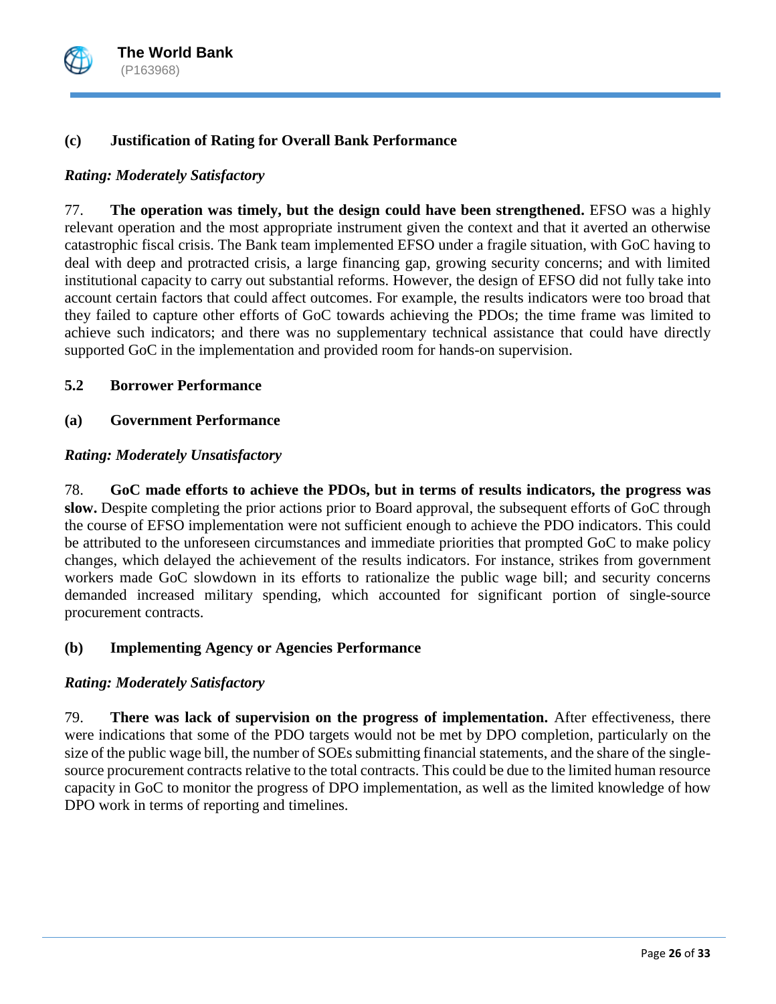

# **(c) Justification of Rating for Overall Bank Performance**

## *Rating: Moderately Satisfactory*

77. **The operation was timely, but the design could have been strengthened.** EFSO was a highly relevant operation and the most appropriate instrument given the context and that it averted an otherwise catastrophic fiscal crisis. The Bank team implemented EFSO under a fragile situation, with GoC having to deal with deep and protracted crisis, a large financing gap, growing security concerns; and with limited institutional capacity to carry out substantial reforms. However, the design of EFSO did not fully take into account certain factors that could affect outcomes. For example, the results indicators were too broad that they failed to capture other efforts of GoC towards achieving the PDOs; the time frame was limited to achieve such indicators; and there was no supplementary technical assistance that could have directly supported GoC in the implementation and provided room for hands-on supervision.

### **5.2 Borrower Performance**

### **(a) Government Performance**

### *Rating: Moderately Unsatisfactory*

78. **GoC made efforts to achieve the PDOs, but in terms of results indicators, the progress was slow.** Despite completing the prior actions prior to Board approval, the subsequent efforts of GoC through the course of EFSO implementation were not sufficient enough to achieve the PDO indicators. This could be attributed to the unforeseen circumstances and immediate priorities that prompted GoC to make policy changes, which delayed the achievement of the results indicators. For instance, strikes from government workers made GoC slowdown in its efforts to rationalize the public wage bill; and security concerns demanded increased military spending, which accounted for significant portion of single-source procurement contracts.

### **(b) Implementing Agency or Agencies Performance**

### *Rating: Moderately Satisfactory*

79. **There was lack of supervision on the progress of implementation.** After effectiveness, there were indications that some of the PDO targets would not be met by DPO completion, particularly on the size of the public wage bill, the number of SOEs submitting financial statements, and the share of the singlesource procurement contracts relative to the total contracts. This could be due to the limited human resource capacity in GoC to monitor the progress of DPO implementation, as well as the limited knowledge of how DPO work in terms of reporting and timelines.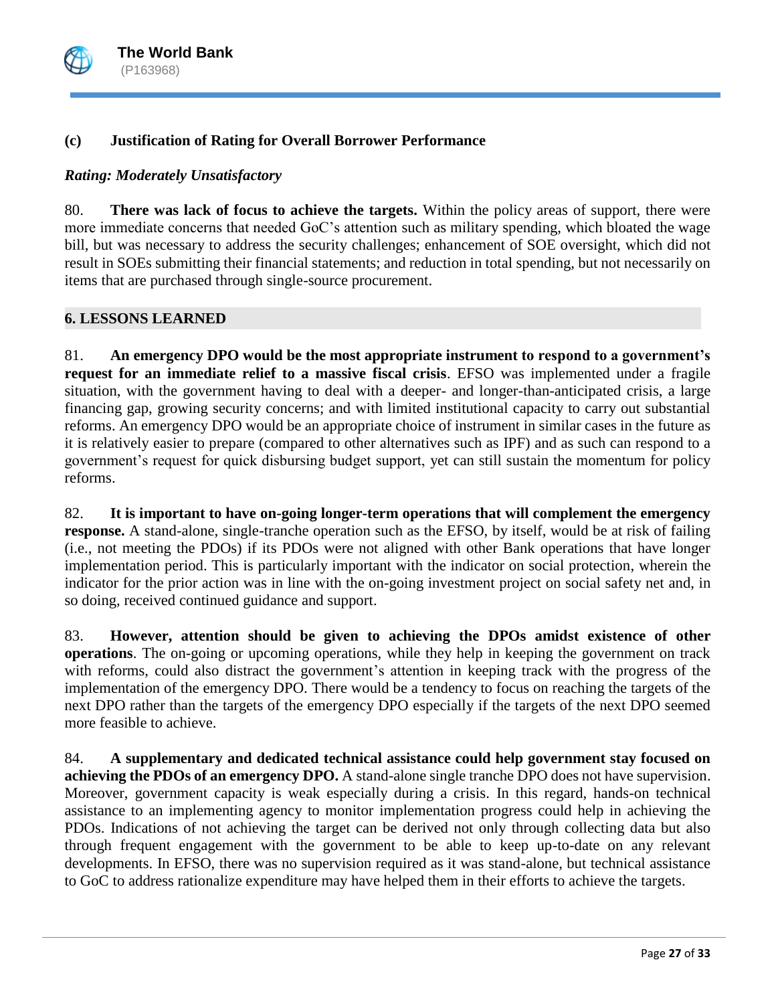

# **(c) Justification of Rating for Overall Borrower Performance**

## *Rating: Moderately Unsatisfactory*

80. **There was lack of focus to achieve the targets.** Within the policy areas of support, there were more immediate concerns that needed GoC's attention such as military spending, which bloated the wage bill, but was necessary to address the security challenges; enhancement of SOE oversight, which did not result in SOEs submitting their financial statements; and reduction in total spending, but not necessarily on items that are purchased through single-source procurement.

### **6. LESSONS LEARNED**

81. **An emergency DPO would be the most appropriate instrument to respond to a government's request for an immediate relief to a massive fiscal crisis**. EFSO was implemented under a fragile situation, with the government having to deal with a deeper- and longer-than-anticipated crisis, a large financing gap, growing security concerns; and with limited institutional capacity to carry out substantial reforms. An emergency DPO would be an appropriate choice of instrument in similar cases in the future as it is relatively easier to prepare (compared to other alternatives such as IPF) and as such can respond to a government's request for quick disbursing budget support, yet can still sustain the momentum for policy reforms.

82. **It is important to have on-going longer-term operations that will complement the emergency response.** A stand-alone, single-tranche operation such as the EFSO, by itself, would be at risk of failing (i.e., not meeting the PDOs) if its PDOs were not aligned with other Bank operations that have longer implementation period. This is particularly important with the indicator on social protection, wherein the indicator for the prior action was in line with the on-going investment project on social safety net and, in so doing, received continued guidance and support.

83. **However, attention should be given to achieving the DPOs amidst existence of other operations**. The on-going or upcoming operations, while they help in keeping the government on track with reforms, could also distract the government's attention in keeping track with the progress of the implementation of the emergency DPO. There would be a tendency to focus on reaching the targets of the next DPO rather than the targets of the emergency DPO especially if the targets of the next DPO seemed more feasible to achieve.

84. **A supplementary and dedicated technical assistance could help government stay focused on achieving the PDOs of an emergency DPO.** A stand-alone single tranche DPO does not have supervision. Moreover, government capacity is weak especially during a crisis. In this regard, hands-on technical assistance to an implementing agency to monitor implementation progress could help in achieving the PDOs. Indications of not achieving the target can be derived not only through collecting data but also through frequent engagement with the government to be able to keep up-to-date on any relevant developments. In EFSO, there was no supervision required as it was stand-alone, but technical assistance to GoC to address rationalize expenditure may have helped them in their efforts to achieve the targets.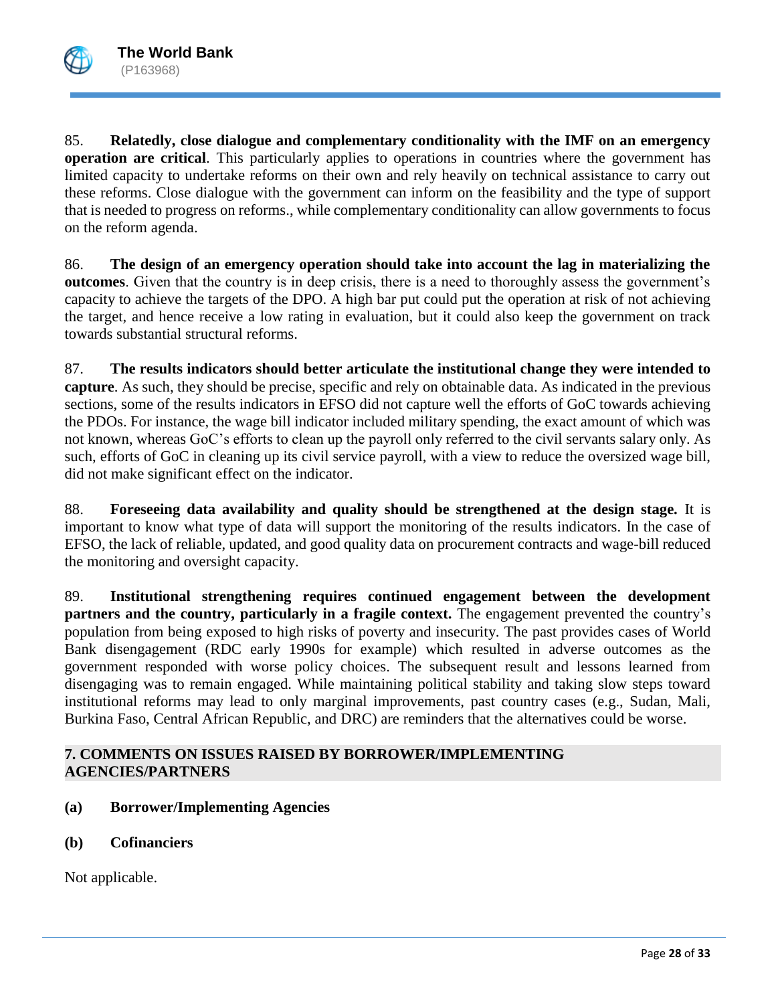

85. **Relatedly, close dialogue and complementary conditionality with the IMF on an emergency operation are critical**. This particularly applies to operations in countries where the government has limited capacity to undertake reforms on their own and rely heavily on technical assistance to carry out these reforms. Close dialogue with the government can inform on the feasibility and the type of support that is needed to progress on reforms., while complementary conditionality can allow governments to focus on the reform agenda.

86. **The design of an emergency operation should take into account the lag in materializing the outcomes**. Given that the country is in deep crisis, there is a need to thoroughly assess the government's capacity to achieve the targets of the DPO. A high bar put could put the operation at risk of not achieving the target, and hence receive a low rating in evaluation, but it could also keep the government on track towards substantial structural reforms.

87. **The results indicators should better articulate the institutional change they were intended to capture**. As such, they should be precise, specific and rely on obtainable data. As indicated in the previous sections, some of the results indicators in EFSO did not capture well the efforts of GoC towards achieving the PDOs. For instance, the wage bill indicator included military spending, the exact amount of which was not known, whereas GoC's efforts to clean up the payroll only referred to the civil servants salary only. As such, efforts of GoC in cleaning up its civil service payroll, with a view to reduce the oversized wage bill, did not make significant effect on the indicator.

88. **Foreseeing data availability and quality should be strengthened at the design stage.** It is important to know what type of data will support the monitoring of the results indicators. In the case of EFSO, the lack of reliable, updated, and good quality data on procurement contracts and wage-bill reduced the monitoring and oversight capacity.

89. **Institutional strengthening requires continued engagement between the development partners and the country, particularly in a fragile context.** The engagement prevented the country's population from being exposed to high risks of poverty and insecurity. The past provides cases of World Bank disengagement (RDC early 1990s for example) which resulted in adverse outcomes as the government responded with worse policy choices. The subsequent result and lessons learned from disengaging was to remain engaged. While maintaining political stability and taking slow steps toward institutional reforms may lead to only marginal improvements, past country cases (e.g., Sudan, Mali, Burkina Faso, Central African Republic, and DRC) are reminders that the alternatives could be worse.

### **7. COMMENTS ON ISSUES RAISED BY BORROWER/IMPLEMENTING AGENCIES/PARTNERS**

- **(a) Borrower/Implementing Agencies**
- **(b) Cofinanciers**

Not applicable.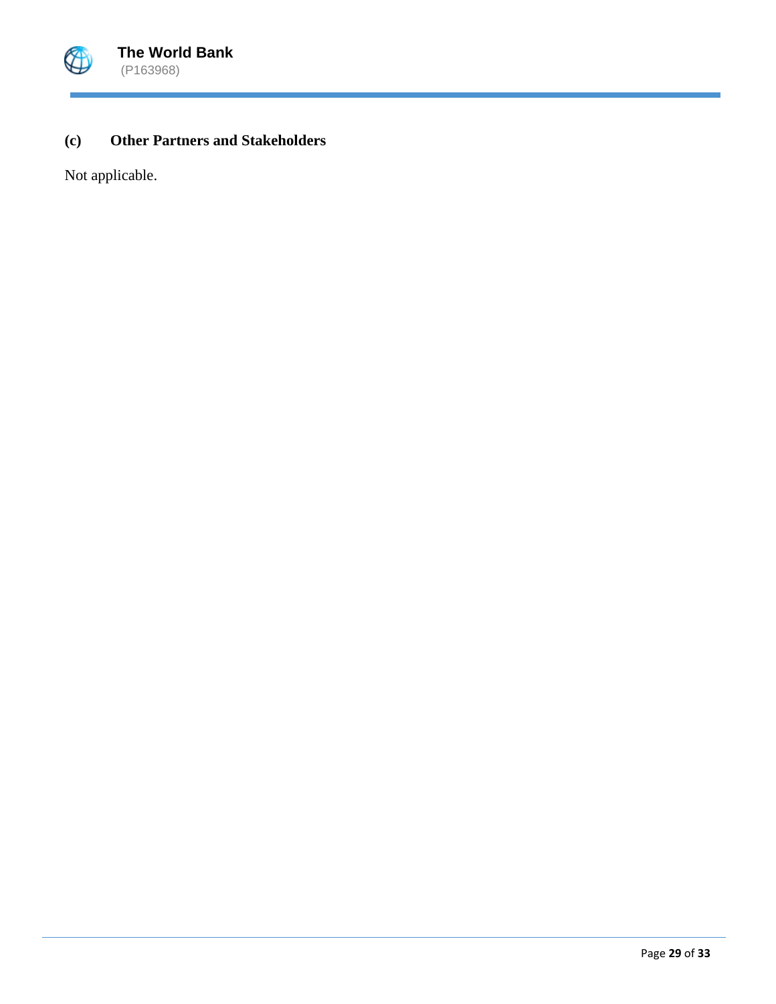

# **(c) Other Partners and Stakeholders**

Not applicable.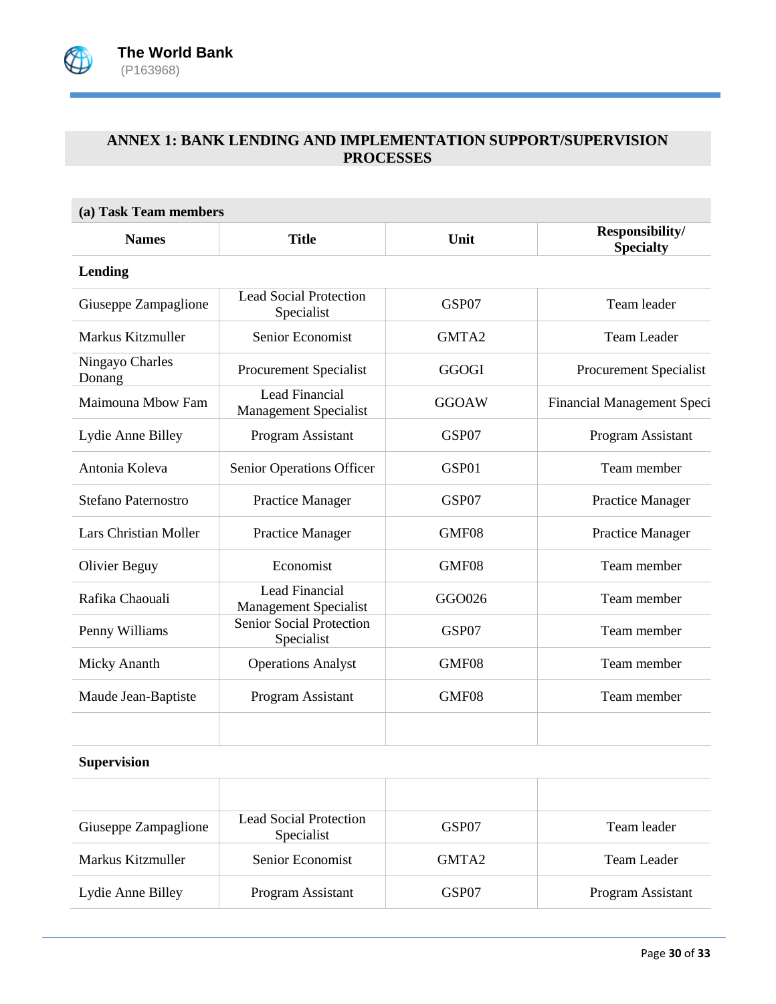

# **ANNEX 1: BANK LENDING AND IMPLEMENTATION SUPPORT/SUPERVISION PROCESSES**

| (a) Task Team members        |                                                       |              |                                     |  |  |  |
|------------------------------|-------------------------------------------------------|--------------|-------------------------------------|--|--|--|
| <b>Names</b>                 | <b>Title</b>                                          | Unit         | Responsibility/<br><b>Specialty</b> |  |  |  |
| <b>Lending</b>               |                                                       |              |                                     |  |  |  |
| Giuseppe Zampaglione         | <b>Lead Social Protection</b><br>Specialist           | GSP07        | Team leader                         |  |  |  |
| Markus Kitzmuller            | Senior Economist                                      | GMTA2        | <b>Team Leader</b>                  |  |  |  |
| Ningayo Charles<br>Donang    | Procurement Specialist                                | <b>GGOGI</b> | Procurement Specialist              |  |  |  |
| Maimouna Mbow Fam            | <b>Lead Financial</b><br><b>Management Specialist</b> | <b>GGOAW</b> | Financial Management Speci          |  |  |  |
| Lydie Anne Billey            | Program Assistant                                     | GSP07        | Program Assistant                   |  |  |  |
| Antonia Koleva               | Senior Operations Officer                             | GSP01        | Team member                         |  |  |  |
| Stefano Paternostro          | Practice Manager                                      | GSP07        | <b>Practice Manager</b>             |  |  |  |
| <b>Lars Christian Moller</b> | <b>Practice Manager</b>                               | GMF08        | <b>Practice Manager</b>             |  |  |  |
| <b>Olivier Beguy</b>         | Economist                                             | GMF08        | Team member                         |  |  |  |
| Rafika Chaouali              | Lead Financial<br><b>Management Specialist</b>        | GGO026       | Team member                         |  |  |  |
| Penny Williams               | Senior Social Protection<br>Specialist                | GSP07        | Team member                         |  |  |  |
| Micky Ananth                 | <b>Operations Analyst</b>                             | GMF08        | Team member                         |  |  |  |
| Maude Jean-Baptiste          | Program Assistant                                     | GMF08        | Team member                         |  |  |  |
|                              |                                                       |              |                                     |  |  |  |

### **Supervision**

| Giuseppe Zampaglione | Lead Social Protection<br>Specialist | GSP07             | Team leader       |
|----------------------|--------------------------------------|-------------------|-------------------|
| Markus Kitzmuller    | Senior Economist                     | GMTA <sub>2</sub> | Team Leader       |
| Lydie Anne Billey    | Program Assistant                    | GSP07             | Program Assistant |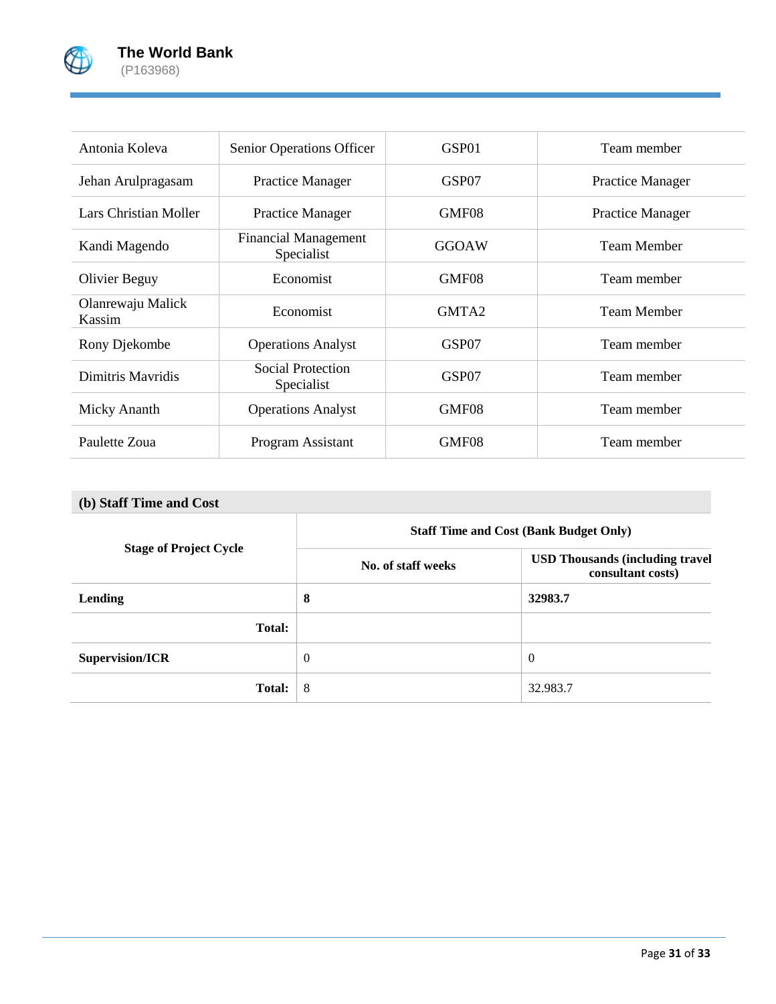

| Antonia Koleva              | Senior Operations Officer                 | GSP01             | Team member             |
|-----------------------------|-------------------------------------------|-------------------|-------------------------|
| Jehan Arulpragasam          | Practice Manager                          | GSP07             | <b>Practice Manager</b> |
| Lars Christian Moller       | <b>Practice Manager</b>                   | GMF08             | <b>Practice Manager</b> |
| Kandi Magendo               | <b>Financial Management</b><br>Specialist | GGOAW             | <b>Team Member</b>      |
| <b>Olivier Beguy</b>        | Economist                                 | GMF08             | Team member             |
| Olanrewaju Malick<br>Kassim | Economist                                 | GMTA <sub>2</sub> | <b>Team Member</b>      |
| Rony Djekombe               | <b>Operations Analyst</b>                 | GSP07             | Team member             |
| Dimitris Mayridis           | Social Protection<br>Specialist           | GSP07             | Team member             |
| Micky Ananth                | <b>Operations Analyst</b>                 | GMF08             | Team member             |
| Paulette Zoua               | Program Assistant                         | GMF08             | Team member             |

# **(b) Staff Time and Cost**

|                               | <b>Staff Time and Cost (Bank Budget Only)</b> |                                                              |  |
|-------------------------------|-----------------------------------------------|--------------------------------------------------------------|--|
| <b>Stage of Project Cycle</b> | No. of staff weeks                            | <b>USD Thousands (including travel)</b><br>consultant costs) |  |
| Lending                       | 8                                             | 32983.7                                                      |  |
| <b>Total:</b>                 |                                               |                                                              |  |
| Supervision/ICR               | $\theta$                                      | $\Omega$                                                     |  |
| <b>Total:</b>                 | 8                                             | 32.983.7                                                     |  |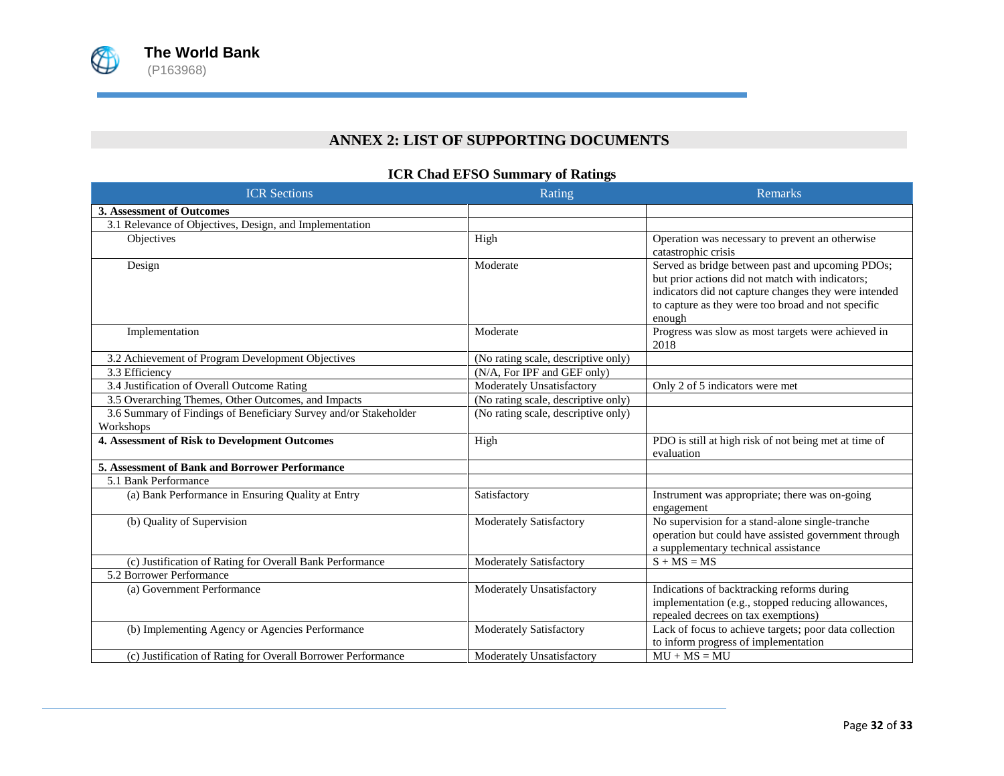

# **ANNEX 2: LIST OF SUPPORTING DOCUMENTS**

### **ICR Chad EFSO Summary of Ratings**

| <b>ICR</b> Sections                                                           | Rating                              | <b>Remarks</b>                                                                                                                                                                                                                |
|-------------------------------------------------------------------------------|-------------------------------------|-------------------------------------------------------------------------------------------------------------------------------------------------------------------------------------------------------------------------------|
| 3. Assessment of Outcomes                                                     |                                     |                                                                                                                                                                                                                               |
| 3.1 Relevance of Objectives, Design, and Implementation                       |                                     |                                                                                                                                                                                                                               |
| Objectives                                                                    | High                                | Operation was necessary to prevent an otherwise<br>catastrophic crisis                                                                                                                                                        |
| Design                                                                        | Moderate                            | Served as bridge between past and upcoming PDOs;<br>but prior actions did not match with indicators;<br>indicators did not capture changes they were intended<br>to capture as they were too broad and not specific<br>enough |
| Implementation                                                                | Moderate                            | Progress was slow as most targets were achieved in<br>2018                                                                                                                                                                    |
| 3.2 Achievement of Program Development Objectives                             | (No rating scale, descriptive only) |                                                                                                                                                                                                                               |
| 3.3 Efficiency                                                                | (N/A, For IPF and GEF only)         |                                                                                                                                                                                                                               |
| 3.4 Justification of Overall Outcome Rating                                   | Moderately Unsatisfactory           | Only 2 of 5 indicators were met                                                                                                                                                                                               |
| 3.5 Overarching Themes, Other Outcomes, and Impacts                           | (No rating scale, descriptive only) |                                                                                                                                                                                                                               |
| 3.6 Summary of Findings of Beneficiary Survey and/or Stakeholder<br>Workshops | (No rating scale, descriptive only) |                                                                                                                                                                                                                               |
| 4. Assessment of Risk to Development Outcomes                                 | High                                | PDO is still at high risk of not being met at time of<br>evaluation                                                                                                                                                           |
| 5. Assessment of Bank and Borrower Performance                                |                                     |                                                                                                                                                                                                                               |
| 5.1 Bank Performance                                                          |                                     |                                                                                                                                                                                                                               |
| (a) Bank Performance in Ensuring Quality at Entry                             | Satisfactory                        | Instrument was appropriate; there was on-going<br>engagement                                                                                                                                                                  |
| (b) Quality of Supervision                                                    | Moderately Satisfactory             | No supervision for a stand-alone single-tranche<br>operation but could have assisted government through<br>a supplementary technical assistance                                                                               |
| (c) Justification of Rating for Overall Bank Performance                      | Moderately Satisfactory             | $S + MS = MS$                                                                                                                                                                                                                 |
| 5.2 Borrower Performance                                                      |                                     |                                                                                                                                                                                                                               |
| (a) Government Performance                                                    | Moderately Unsatisfactory           | Indications of backtracking reforms during<br>implementation (e.g., stopped reducing allowances,<br>repealed decrees on tax exemptions)                                                                                       |
| (b) Implementing Agency or Agencies Performance                               | Moderately Satisfactory             | Lack of focus to achieve targets; poor data collection<br>to inform progress of implementation                                                                                                                                |
| (c) Justification of Rating for Overall Borrower Performance                  | Moderately Unsatisfactory           | $MU + MS = MU$                                                                                                                                                                                                                |